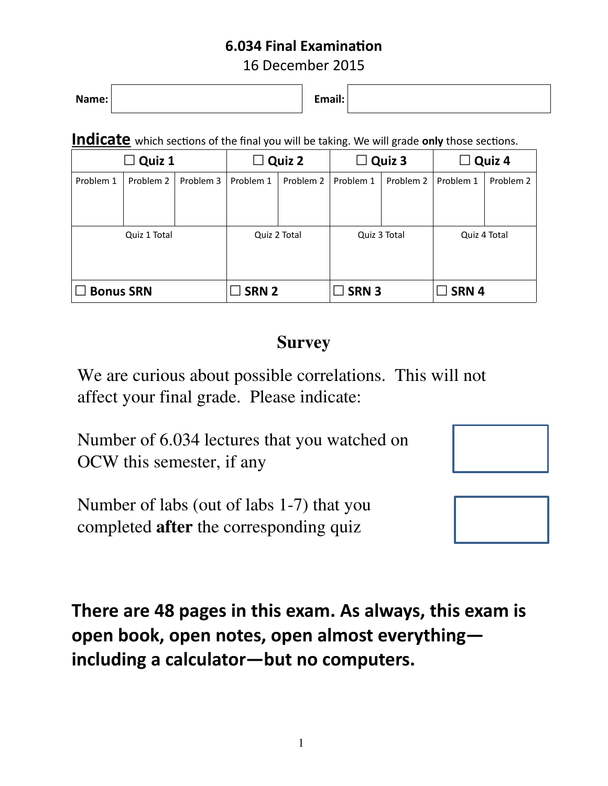### **6.034 Final Examination**

16 December 2015

**Name: Email:**

**Indicate** which sections of the final you will be taking. We will grade only those sections.

|                  | $\square$ Quiz 1 |           |                  | $\Box$ Quiz 2 |                  | $\Box$ Quiz 3 | $\Box$           | Quiz 4       |
|------------------|------------------|-----------|------------------|---------------|------------------|---------------|------------------|--------------|
| Problem 1        | Problem 2        | Problem 3 | Problem 1        | Problem 2     | Problem 1        | Problem 2     | Problem 1        | Problem 2    |
|                  |                  |           |                  |               |                  |               |                  |              |
|                  |                  |           |                  |               |                  |               |                  |              |
|                  | Quiz 1 Total     |           |                  | Quiz 2 Total  |                  | Quiz 3 Total  |                  | Quiz 4 Total |
|                  |                  |           |                  |               |                  |               |                  |              |
|                  |                  |           |                  |               |                  |               |                  |              |
| <b>Bonus SRN</b> |                  |           | SRN <sub>2</sub> |               | SRN <sub>3</sub> |               | SRN <sub>4</sub> |              |

## **Survey**

We are curious about possible correlations. This will not affect your final grade. Please indicate:

Number of 6.034 lectures that you watched on OCW this semester, if any

Number of labs (out of labs 1-7) that you completed after the corresponding quiz



**There are 48 pages in this exam. As always, this exam is open book, open notes, open almost everything including a calculator—but no computers.**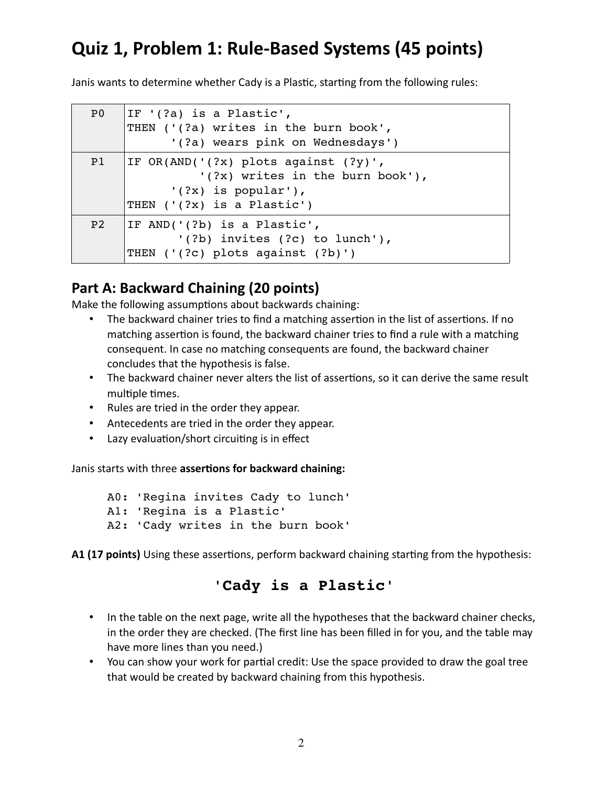# **Quiz 1, Problem 1: Rule-Based Systems (45 points)**

Janis wants to determine whether Cady is a Plastic, starting from the following rules:

| P <sub>0</sub> | $ IF'(?a)$ is a Plastic',<br>THEN ('(?a) writes in the burn book',<br>'(?a) wears pink on Wednesdays')                                 |
|----------------|----------------------------------------------------------------------------------------------------------------------------------------|
| P1             | IF $OR(AND('(?x) plots against (?y)$ ',<br>$'(?x)$ writes in the burn book'),<br>$'(?x)$ is popular'),<br>THEN $('(?x)$ is a Plastic') |
| P <sub>2</sub> | IF AND( $'(?b)$ is a Plastic',<br>$'(?b)$ invites $(?c)$ to lunch'),<br>THEN ('(?c) plots against (?b)')                               |

### **Part A: Backward Chaining (20 points)**

Make the following assumptions about backwards chaining:

- The backward chainer tries to find a matching assertion in the list of assertions. If no matching assertion is found, the backward chainer tries to find a rule with a matching consequent. In case no matching consequents are found, the backward chainer concludes that the hypothesis is false.
- The backward chainer never alters the list of assertions, so it can derive the same result multiple times.
- Rules are tried in the order they appear.
- Antecedents are tried in the order they appear.
- Lazy evaluation/short circuiting is in effect

Janis starts with three **assertions for backward chaining:**

A0: 'Regina invites Cady to lunch' A1: 'Regina is a Plastic' A2: 'Cady writes in the burn book'

**A1 (17 points)** Using these assertions, perform backward chaining starting from the hypothesis:

### **'Cady is a Plastic'**

- In the table on the next page, write all the hypotheses that the backward chainer checks, in the order they are checked. (The first line has been filled in for you, and the table may have more lines than you need.)
- You can show your work for partial credit: Use the space provided to draw the goal tree that would be created by backward chaining from this hypothesis.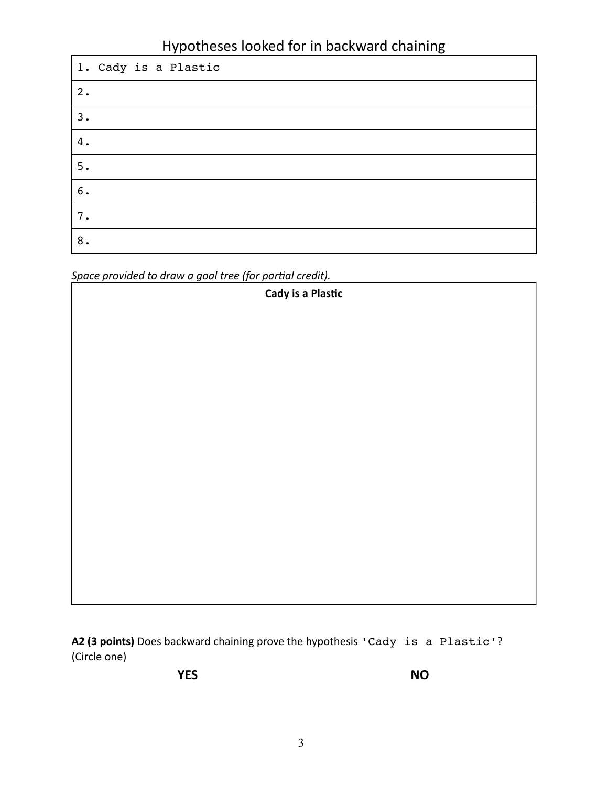### Hypotheses looked for in backward chaining

| 1. Cady is a Plastic |
|----------------------|
| 2.                   |
| 3.                   |
| 4.                   |
| 5.                   |
| $6$ .                |
| 7.                   |
| 8.                   |

*Space provided to draw a goal tree (for partial credit).*

| Cady is a Plastic |
|-------------------|
|                   |
|                   |
|                   |
|                   |
|                   |
|                   |
|                   |
|                   |
|                   |
|                   |
|                   |
|                   |
|                   |

**A2 (3 points)** Does backward chaining prove the hypothesis 'Cady is a Plastic'? (Circle one)

**YES NO**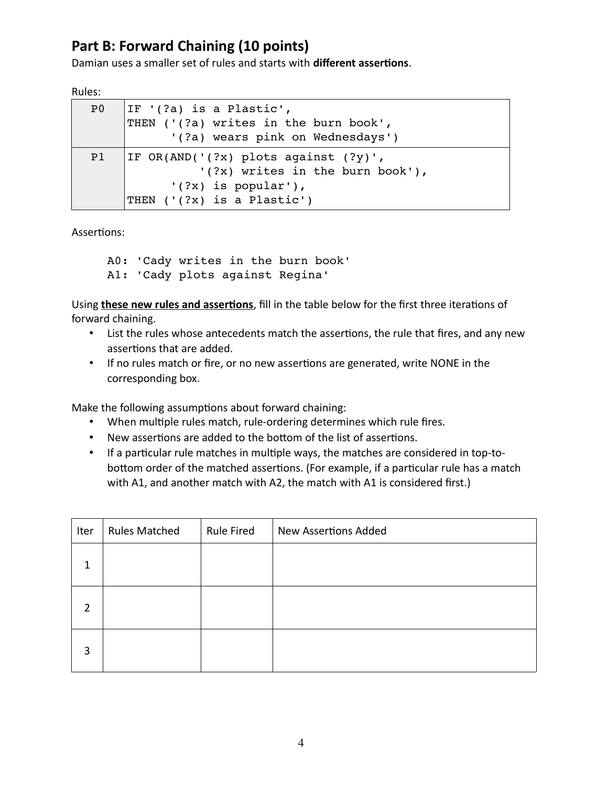### **Part B: Forward Chaining (10 points)**

Damian uses a smaller set of rules and starts with **different assertions**.

| ц<br>٠<br>U<br>۰,<br>٩ |
|------------------------|
|------------------------|

| P <sub>0</sub> | IF $'(?a)$ is a Plastic',              |
|----------------|----------------------------------------|
|                | THEN ('(?a) writes in the burn book',  |
|                | '(?a) wears pink on Wednesdays')       |
| P <sub>1</sub> | IF $OR(AND('(?x) plots against (?y)$ , |
|                | $'(?x)$ writes in the burn book'),     |
|                | $'(?x)$ is popular'),                  |
|                | THEN ('(?x) is a Plastic')             |
|                |                                        |

Assertions:

A0: 'Cady writes in the burn book' A1: 'Cady plots against Regina'

Using **these new rules and assertions**, fill in the table below for the first three iterations of forward chaining.

- List the rules whose antecedents match the assertions, the rule that fires, and any new assertions that are added.
- If no rules match or fire, or no new assertions are generated, write NONE in the corresponding box.

Make the following assumptions about forward chaining:

- When multiple rules match, rule-ordering determines which rule fires.
- New assertions are added to the bottom of the list of assertions.
- If a particular rule matches in multiple ways, the matches are considered in top-tobottom order of the matched assertions. (For example, if a particular rule has a match with A1, and another match with A2, the match with A1 is considered first.)

| Iter           | <b>Rules Matched</b> | <b>Rule Fired</b> | <b>New Assertions Added</b> |
|----------------|----------------------|-------------------|-----------------------------|
| 1              |                      |                   |                             |
| $\overline{2}$ |                      |                   |                             |
| 3              |                      |                   |                             |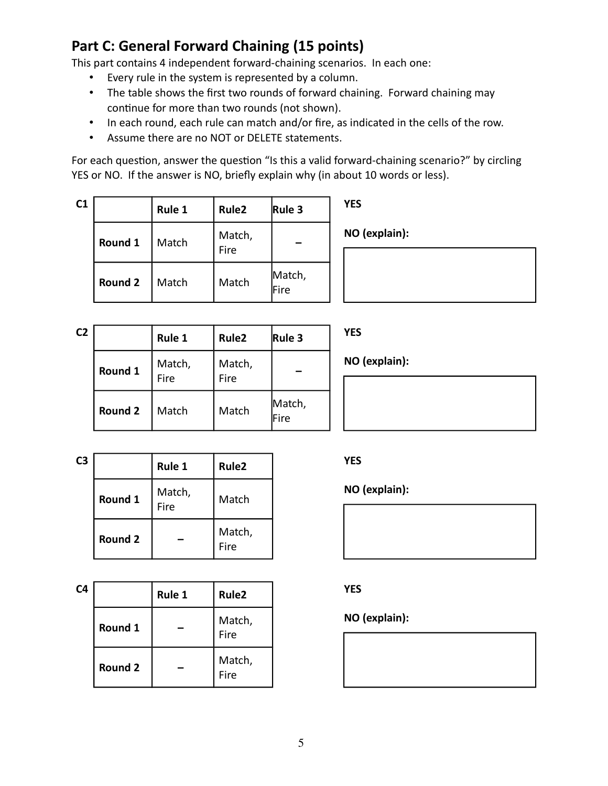### **Part C: General Forward Chaining (15 points)**

This part contains 4 independent forward-chaining scenarios. In each one:

- Every rule in the system is represented by a column.
- The table shows the first two rounds of forward chaining. Forward chaining may continue for more than two rounds (not shown).
- In each round, each rule can match and/or fire, as indicated in the cells of the row.
- Assume there are no NOT or DELETE statements.

For each question, answer the question "Is this a valid forward-chaining scenario?" by circling YES or NO. If the answer is NO, briefly explain why (in about 10 words or less).

| C1 |                | Rule 1 | Rule <sub>2</sub> | Rule 3         | <b>YES</b>    |
|----|----------------|--------|-------------------|----------------|---------------|
|    | Round 1        | Match  | Match,<br>Fire    |                | NO (explain): |
|    | <b>Round 2</b> | Match  | Match             | Match,<br>Fire |               |

| C <sub>2</sub> |                | Rule 1         | Rule <sub>2</sub> | Rule 3         |
|----------------|----------------|----------------|-------------------|----------------|
|                | Round 1        | Match,<br>Fire | Match,<br>Fire    |                |
|                | <b>Round 2</b> | Match          | Match             | Match,<br>Fire |

**YES**

**NO (explain):**

| C3 |         | Rule 1         | Rule <sub>2</sub> |  |
|----|---------|----------------|-------------------|--|
|    | Round 1 | Match,<br>Fire | Match             |  |
|    | Round 2 |                | Match,<br>Fire    |  |

| C4 |                | Rule 1 | Rule <sub>2</sub> |
|----|----------------|--------|-------------------|
|    | Round 1        |        | Match,<br>Fire    |
|    | <b>Round 2</b> |        | Match,<br>Fire    |

#### **YES**

**NO (explain):**



**YES**

#### **NO (explain):**

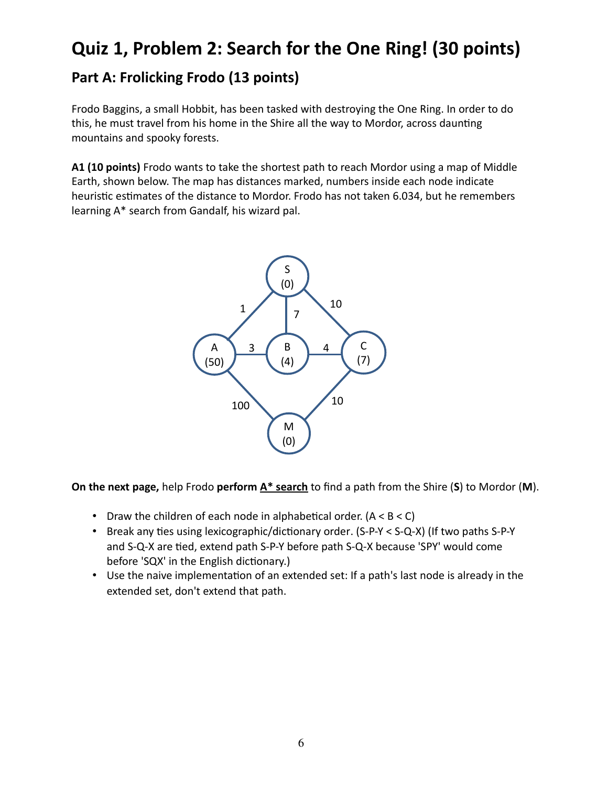## **Quiz 1, Problem 2: Search for the One Ring! (30 points)**

### **Part A: Frolicking Frodo (13 points)**

Frodo Baggins, a small Hobbit, has been tasked with destroying the One Ring. In order to do this, he must travel from his home in the Shire all the way to Mordor, across daunting mountains and spooky forests.

**A1 (10 points)** Frodo wants to take the shortest path to reach Mordor using a map of Middle Earth, shown below. The map has distances marked, numbers inside each node indicate heuristic estimates of the distance to Mordor. Frodo has not taken 6.034, but he remembers learning A\* search from Gandalf, his wizard pal.



**On the next page,** help Frodo **perform A\* search** to find a path from the Shire (**S**) to Mordor (**M**).

- Draw the children of each node in alphabetical order.  $(A < B < C)$
- Break any ties using lexicographic/dictionary order. (S-P-Y < S-Q-X) (If two paths S-P-Y and S-Q-X are tied, extend path S-P-Y before path S-Q-X because 'SPY' would come before 'SQX' in the English dictionary.)
- Use the naive implementation of an extended set: If a path's last node is already in the extended set, don't extend that path.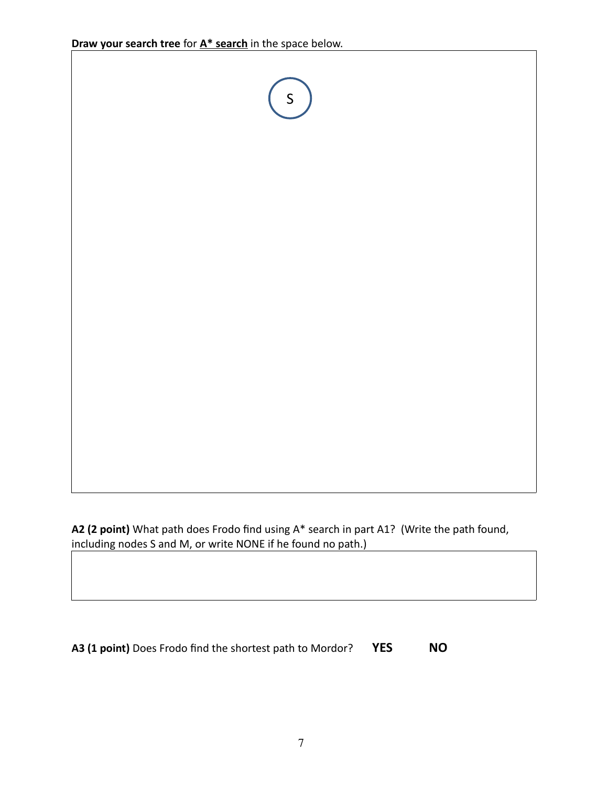

**A2 (2 point)** What path does Frodo find using A\* search in part A1? (Write the path found, including nodes S and M, or write NONE if he found no path.)

**A3 (1 point)** Does Frodo find the shortest path to Mordor? **YES NO**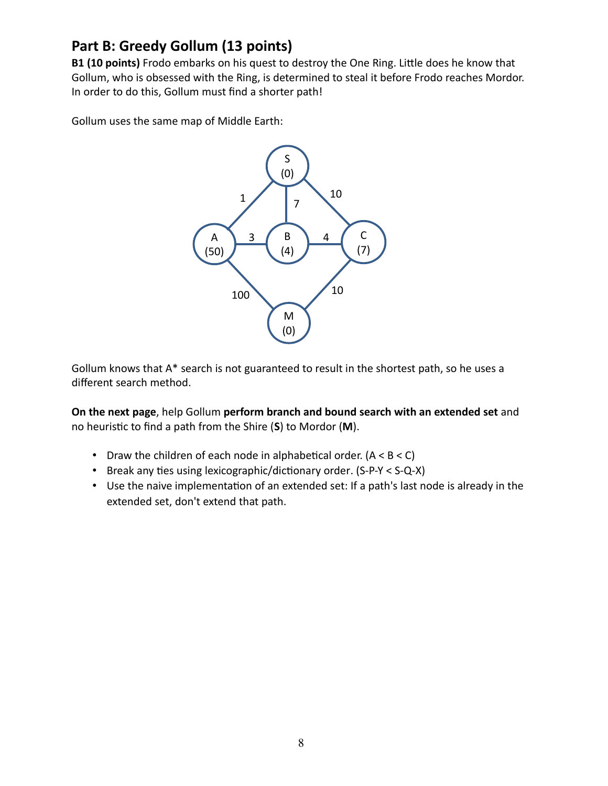### **Part B: Greedy Gollum (13 points)**

**B1 (10 points)** Frodo embarks on his quest to destroy the One Ring. Little does he know that Gollum, who is obsessed with the Ring, is determined to steal it before Frodo reaches Mordor. In order to do this, Gollum must find a shorter path!

Gollum uses the same map of Middle Earth:



Gollum knows that A\* search is not guaranteed to result in the shortest path, so he uses a different search method.

**On the next page**, help Gollum **perform branch and bound search with an extended set** and no heuristic to find a path from the Shire (**S**) to Mordor (**M**).

- Draw the children of each node in alphabetical order.  $(A < B < C)$
- Break any ties using lexicographic/dictionary order. (S-P-Y < S-Q-X)
- Use the naive implementation of an extended set: If a path's last node is already in the extended set, don't extend that path.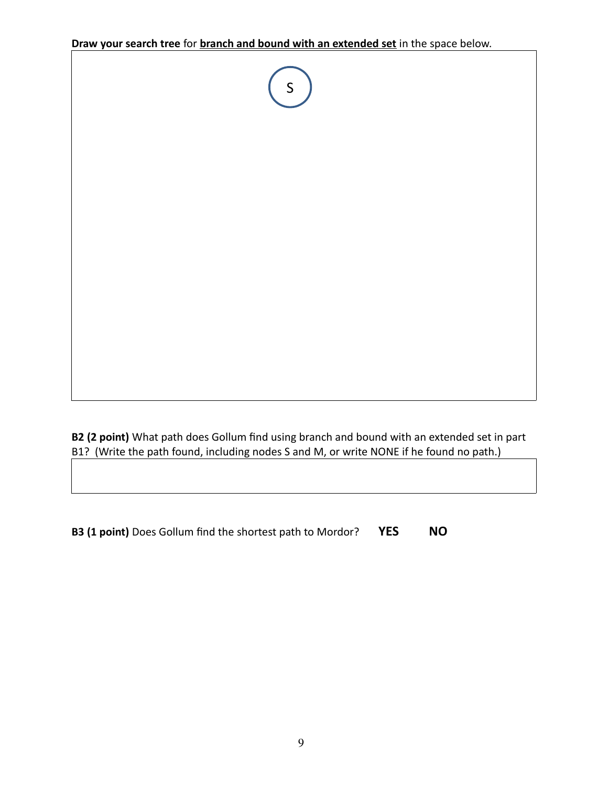**Draw your search tree** for **branch and bound with an extended set** in the space below.



**B2 (2 point)** What path does Gollum find using branch and bound with an extended set in part B1? (Write the path found, including nodes S and M, or write NONE if he found no path.)

**B3 (1 point)** Does Gollum find the shortest path to Mordor? **YES NO**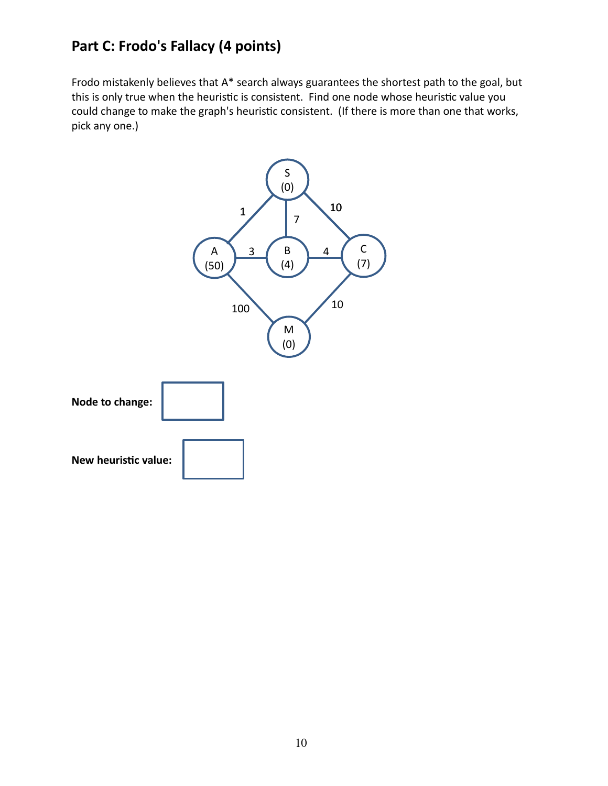### **Part C: Frodo's Fallacy (4 points)**

Frodo mistakenly believes that A\* search always guarantees the shortest path to the goal, but this is only true when the heuristic is consistent. Find one node whose heuristic value you could change to make the graph's heuristic consistent. (If there is more than one that works, pick any one.)

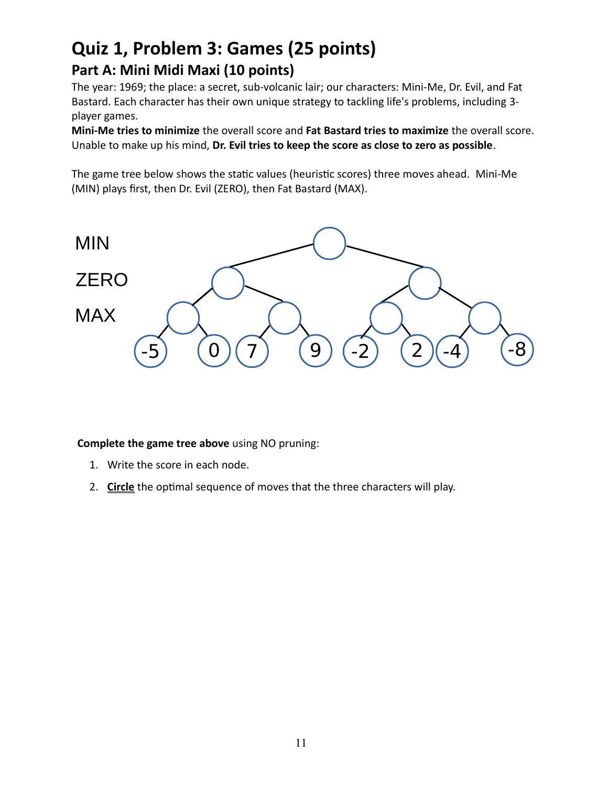## **Quiz 1, Problem 3: Games (25 points) Part A: Mini Midi Maxi (10 points)**

The year: 1969; the place: a secret, sub-volcanic lair; our characters: Mini-Me, Dr. Evil, and Fat Bastard. Each character has their own unique strategy to tackling life's problems, including 3 player games.

**Mini-Me tries to minimize** the overall score and **Fat Bastard tries to maximize** the overall score. Unable to make up his mind, **Dr. Evil tries to keep the score as close to zero as possible**.

The game tree below shows the static values (heuristic scores) three moves ahead. Mini-Me (MIN) plays first, then Dr. Evil (ZERO), then Fat Bastard (MAX).



**Complete the game tree above** using NO pruning:

- 1. Write the score in each node.
- 2. **Circle** the optimal sequence of moves that the three characters will play.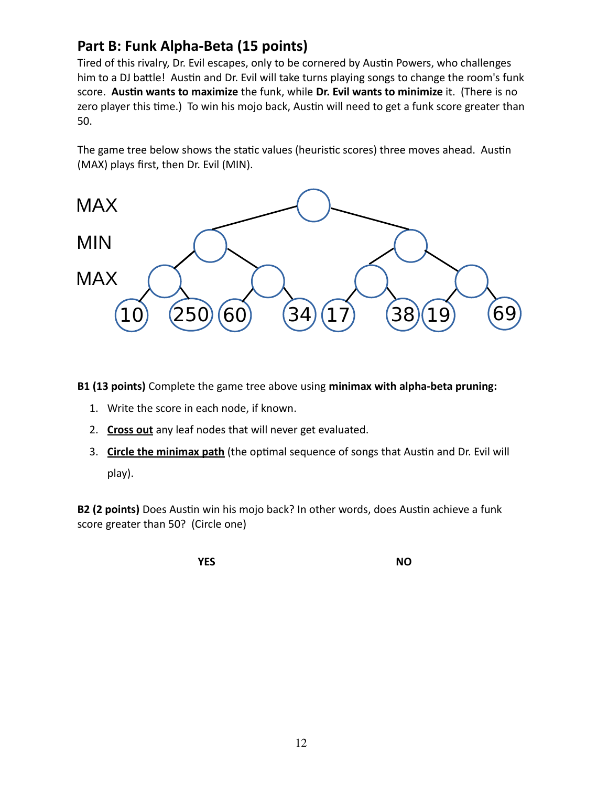### **Part B: Funk Alpha-Beta (15 points)**

Tired of this rivalry, Dr. Evil escapes, only to be cornered by Austin Powers, who challenges him to a DJ battle! Austin and Dr. Evil will take turns playing songs to change the room's funk score. **Austin wants to maximize** the funk, while **Dr. Evil wants to minimize** it. (There is no zero player this time.) To win his mojo back, Austin will need to get a funk score greater than 50.

The game tree below shows the static values (heuristic scores) three moves ahead. Austin (MAX) plays first, then Dr. Evil (MIN).



**B1 (13 points)** Complete the game tree above using **minimax with alpha-beta pruning:**

- 1. Write the score in each node, if known.
- 2. **Cross out** any leaf nodes that will never get evaluated.
- 3. **Circle the minimax path** (the optimal sequence of songs that Austin and Dr. Evil will play).

**B2 (2 points)** Does Austin win his mojo back? In other words, does Austin achieve a funk score greater than 50? (Circle one)

**YES NO**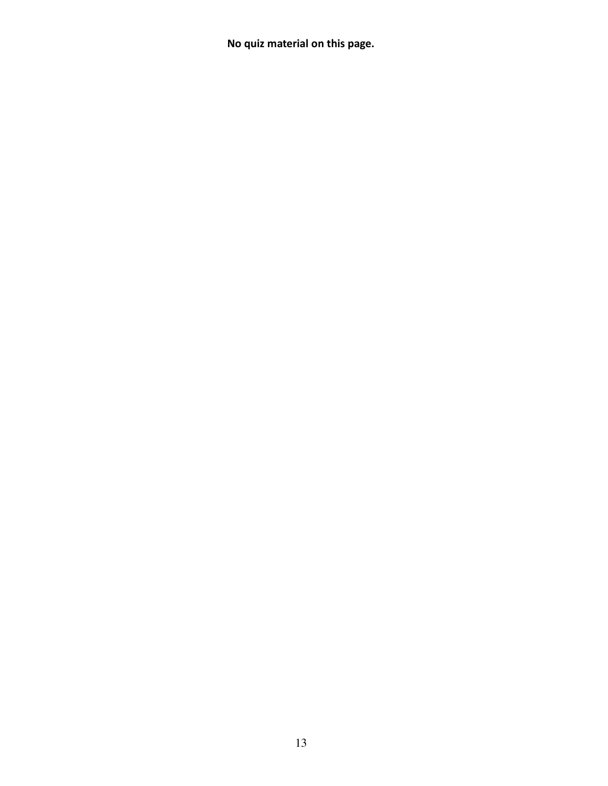**No quiz material on this page.**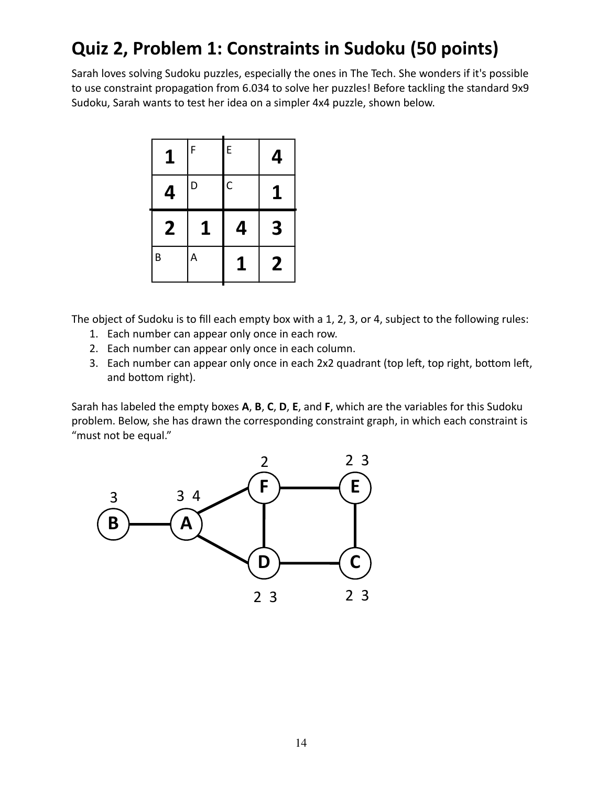# **Quiz 2, Problem 1: Constraints in Sudoku (50 points)**

Sarah loves solving Sudoku puzzles, especially the ones in The Tech. She wonders if it's possible to use constraint propagation from 6.034 to solve her puzzles! Before tackling the standard 9x9 Sudoku, Sarah wants to test her idea on a simpler 4x4 puzzle, shown below.

| $\mathbf{1}$ | F | E              | 4 |
|--------------|---|----------------|---|
| 4            | D | $\overline{C}$ |   |
|              |   |                |   |
| 2            | 1 | 4              | 3 |

The object of Sudoku is to fill each empty box with a 1, 2, 3, or 4, subject to the following rules:

- 1. Each number can appear only once in each row.
- 2. Each number can appear only once in each column.
- 3. Each number can appear only once in each 2x2 quadrant (top left, top right, bottom left, and bottom right).

Sarah has labeled the empty boxes **A**, **B**, **C**, **D**, **E**, and **F**, which are the variables for this Sudoku problem. Below, she has drawn the corresponding constraint graph, in which each constraint is "must not be equal."

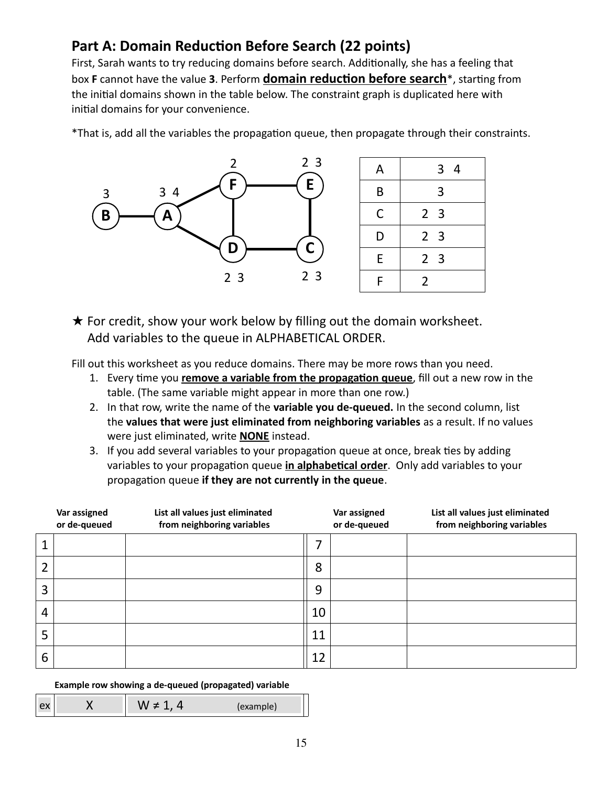### **Part A: Domain Reduction Before Search (22 points)**

First, Sarah wants to try reducing domains before search. Additionally, she has a feeling that box **F** cannot have the value **3**. Perform **domain reduction before search**\*, starting from the initial domains shown in the table below. The constraint graph is duplicated here with initial domains for your convenience.

\*That is, add all the variables the propagation queue, then propagate through their constraints.





 $\star$  For credit, show your work below by filling out the domain worksheet. Add variables to the queue in ALPHABETICAL ORDER.

Fill out this worksheet as you reduce domains. There may be more rows than you need.

- 1. Every time you **remove a variable from the propagation queue**, fill out a new row in the table. (The same variable might appear in more than one row.)
- 2. In that row, write the name of the **variable you de-queued.** In the second column, list the **values that were just eliminated from neighboring variables** as a result. If no values were just eliminated, write **NONE** instead.
- 3. If you add several variables to your propagation queue at once, break ties by adding variables to your propagation queue **in alphabetical order**. Only add variables to your propagation queue **if they are not currently in the queue**.

|                | Var assigned<br>or de-queued | List all values just eliminated<br>from neighboring variables |    | Var assigned<br>or de-queued | List all values just eliminated<br>from neighboring variables |
|----------------|------------------------------|---------------------------------------------------------------|----|------------------------------|---------------------------------------------------------------|
|                |                              |                                                               |    |                              |                                                               |
| 2              |                              |                                                               | 8  |                              |                                                               |
| 3              |                              |                                                               | 9  |                              |                                                               |
| $\overline{4}$ |                              |                                                               | 10 |                              |                                                               |
| 5              |                              |                                                               | 11 |                              |                                                               |
| 6              |                              |                                                               | 12 |                              |                                                               |

**Example row showing a de-queued (propagated) variable**

|  | c |
|--|---|
|  |   |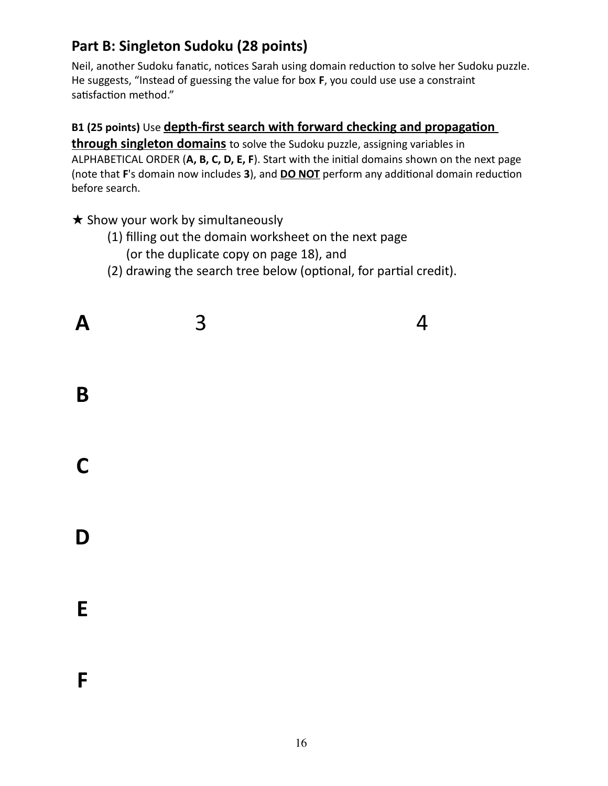### **Part B: Singleton Sudoku (28 points)**

Neil, another Sudoku fanatic, notices Sarah using domain reduction to solve her Sudoku puzzle. He suggests, "Instead of guessing the value for box **F**, you could use use a constraint satisfaction method."

### **B1 (25 points)** Use **depth-first search with forward checking and propagation**

**through singleton domains** to solve the Sudoku puzzle, assigning variables in ALPHABETICAL ORDER (**A, B, C, D, E, F**). Start with the initial domains shown on the next page (note that **F**'s domain now includes **3**), and **DO NOT** perform any additional domain reduction before search.

★ Show your work by simultaneously

- (1) filling out the domain worksheet on the next page
	- (or the duplicate copy on page 18), and
- (2) drawing the search tree below (optional, for partial credit).

| $\boldsymbol{A}$ | 3 | $\overline{4}$ |
|------------------|---|----------------|
| $\mathbf B$      |   |                |
| $\mathbf C$      |   |                |
| D                |   |                |
| ${\sf E}$        |   |                |
| $\mathsf F$      |   |                |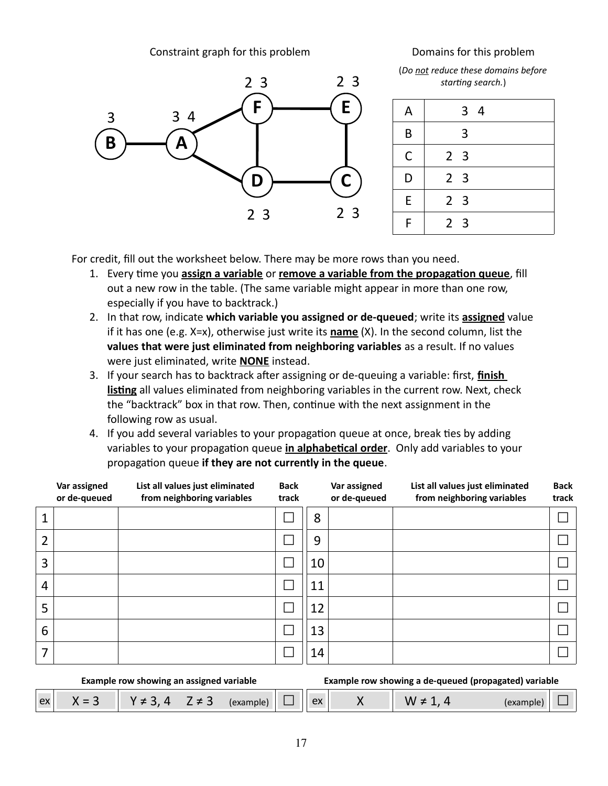Constraint graph for this problem **Domains for this problem** 



(*Do not reduce these domains before starting search.*)

| Α | 3 <sub>4</sub> |
|---|----------------|
| B | 3              |
| C | 2 <sub>3</sub> |
| D | 2 <sub>3</sub> |
| E | 2 <sub>3</sub> |
| F | 2 <sub>3</sub> |
|   |                |

For credit, fill out the worksheet below. There may be more rows than you need.

- 1. Every time you **assign a variable** or **remove a variable from the propagation queue**, fill out a new row in the table. (The same variable might appear in more than one row, especially if you have to backtrack.)
- 2. In that row, indicate **which variable you assigned or de-queued**; write its **assigned** value if it has one (e.g. X=x), otherwise just write its **name** (X). In the second column, list the **values that were just eliminated from neighboring variables** as a result. If no values were just eliminated, write **NONE** instead.
- 3. If your search has to backtrack after assigning or de-queuing a variable: first, **finish listing** all values eliminated from neighboring variables in the current row. Next, check the "backtrack" box in that row. Then, continue with the next assignment in the following row as usual.
- 4. If you add several variables to your propagation queue at once, break ties by adding variables to your propagation queue **in alphabetical order**. Only add variables to your propagation queue **if they are not currently in the queue**.

|   | Var assigned<br>or de-queued | List all values just eliminated<br>from neighboring variables | <b>Back</b><br>track |    | Var assigned<br>or de-queued | List all values just eliminated<br>from neighboring variables | <b>Back</b><br>track |
|---|------------------------------|---------------------------------------------------------------|----------------------|----|------------------------------|---------------------------------------------------------------|----------------------|
|   |                              |                                                               |                      | 8  |                              |                                                               |                      |
| 2 |                              |                                                               |                      | 9  |                              |                                                               |                      |
| 3 |                              |                                                               |                      | 10 |                              |                                                               |                      |
| 4 |                              |                                                               |                      | 11 |                              |                                                               |                      |
| 5 |                              |                                                               |                      | 12 |                              |                                                               |                      |
| 6 |                              |                                                               |                      | 13 |                              |                                                               |                      |
| 7 |                              |                                                               |                      | 14 |                              |                                                               |                      |

| Example row showing an assigned variable |         |                                                                                                                        |  |  |  | Example row showing a de-queued (propagated) variable |  |  |           |  |
|------------------------------------------|---------|------------------------------------------------------------------------------------------------------------------------|--|--|--|-------------------------------------------------------|--|--|-----------|--|
| ex <sup>1</sup>                          | $X = 3$ | $\begin{array}{ c c c c c c c c } \hline & \gamma \neq 3, 4 & \mathsf{Z} \neq 3 & \text{(example)} & \Box \end{array}$ |  |  |  |                                                       |  |  | (example) |  |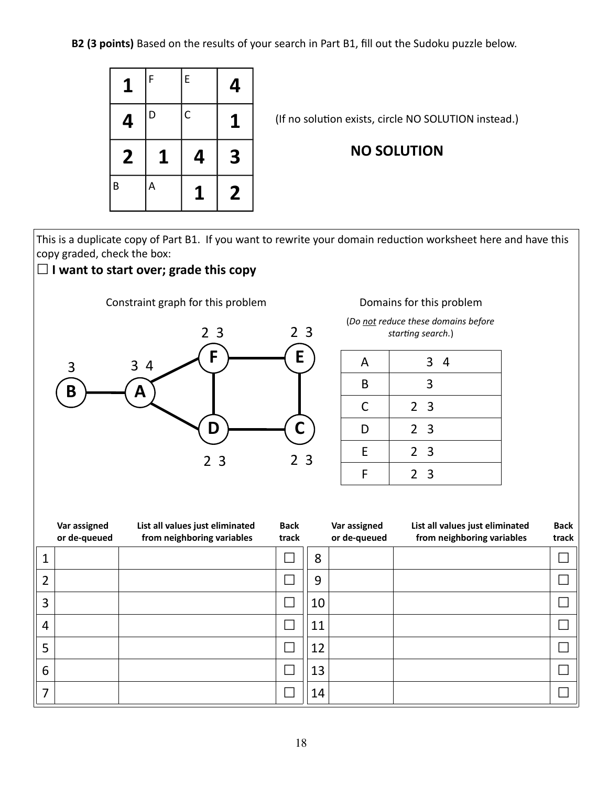**B2 (3 points)** Based on the results of your search in Part B1, fill out the Sudoku puzzle below.



(If no solution exists, circle NO SOLUTION instead.)

#### **NO SOLUTION**

This is a duplicate copy of Part B1. If you want to rewrite your domain reduction worksheet here and have this copy graded, check the box:

#### **☐ I want to start over; grade this copy**

Constraint graph for this problem Domains for this problem



(*Do not reduce these domains before starting search.*)

| A | 3 <sub>4</sub> |
|---|----------------|
| B | 3              |
| C | 2 <sub>3</sub> |
| D | 2 <sub>3</sub> |
| E | 2 <sub>3</sub> |
| F | 2 <sub>3</sub> |

|   | Var assigned<br>or de-queued | List all values just eliminated<br>from neighboring variables | <b>Back</b><br>track |    | Var assigned<br>or de-queued | List all values just eliminated<br>from neighboring variables | <b>Back</b><br>track |
|---|------------------------------|---------------------------------------------------------------|----------------------|----|------------------------------|---------------------------------------------------------------|----------------------|
|   |                              |                                                               |                      | 8  |                              |                                                               |                      |
| 2 |                              |                                                               |                      | 9  |                              |                                                               |                      |
| 3 |                              |                                                               |                      | 10 |                              |                                                               |                      |
| 4 |                              |                                                               |                      | 11 |                              |                                                               |                      |
| 5 |                              |                                                               |                      | 12 |                              |                                                               |                      |
| 6 |                              |                                                               |                      | 13 |                              |                                                               |                      |
| ⇁ |                              |                                                               |                      | 14 |                              |                                                               |                      |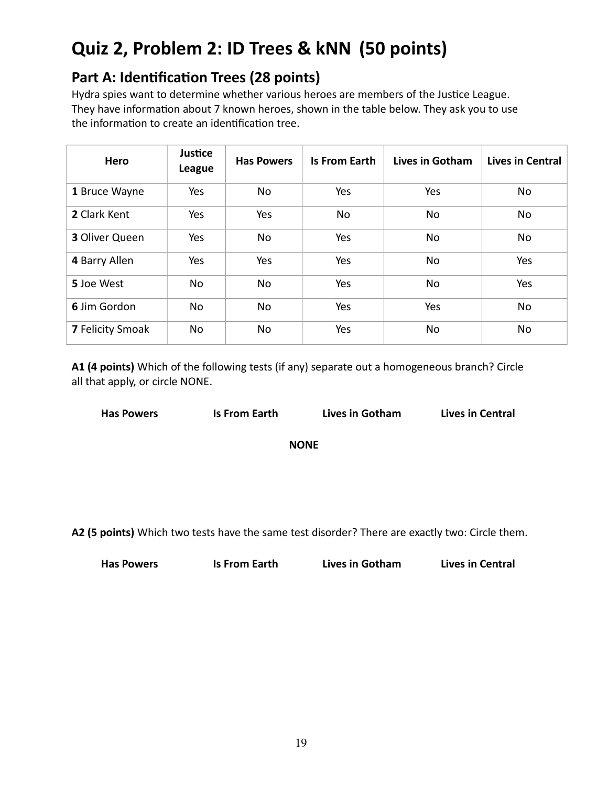# **Quiz 2, Problem 2: ID Trees & kNN (50 points)**

### **Part A: Identification Trees (28 points)**

Hydra spies want to determine whether various heroes are members of the Justice League. They have information about 7 known heroes, shown in the table below. They ask you to use the information to create an identification tree.

| Hero                    | Justice<br>League | <b>Has Powers</b> | <b>Is From Earth</b> | Lives in Gotham | Lives in Central |
|-------------------------|-------------------|-------------------|----------------------|-----------------|------------------|
| 1 Bruce Wayne           | Yes               | No.               | Yes                  | Yes             | No               |
| 2 Clark Kent            | Yes               | Yes               | No                   | No              | No               |
| 3 Oliver Queen          | Yes               | No                | Yes                  | No              | No               |
| 4 Barry Allen           | Yes               | Yes               | Yes                  | No              | Yes              |
| 5 Joe West              | No.               | No.               | <b>Yes</b>           | No              | <b>Yes</b>       |
| 6 Jim Gordon            | No                | No                | Yes                  | Yes             | No               |
| <b>7 Felicity Smoak</b> | No                | No                | Yes                  | No              | No               |

**A1 (4 points)** Which of the following tests (if any) separate out a homogeneous branch? Circle all that apply, or circle NONE.

| <b>Has Powers</b> | Is From Earth | <b>Lives in Got</b> |
|-------------------|---------------|---------------------|

**Ham** Lives in Central

**NONE**

**A2 (5 points)** Which two tests have the same test disorder? There are exactly two: Circle them.

| <b>Has Powers</b><br><b>Is From Earth</b> | <b>Lives in Gotham</b> | <b>Lives in Central</b> |
|-------------------------------------------|------------------------|-------------------------|
|-------------------------------------------|------------------------|-------------------------|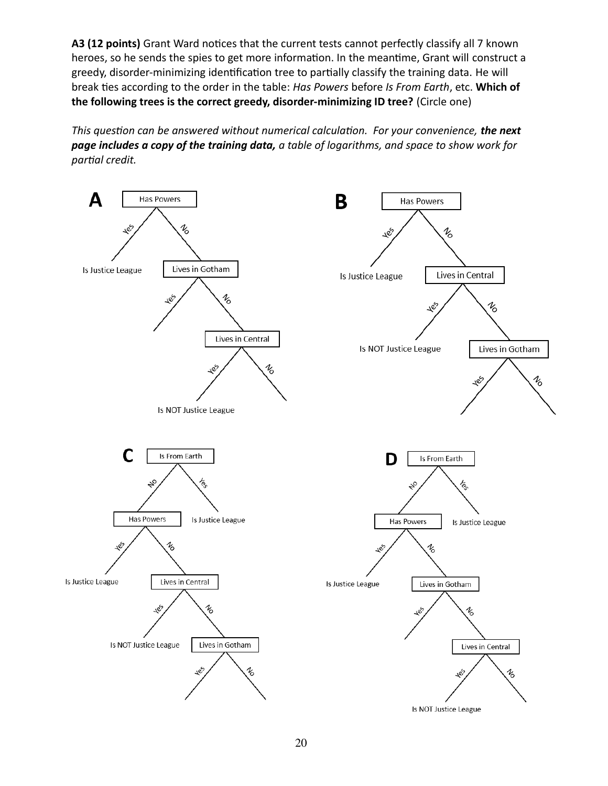**A3 (12 points)** Grant Ward notices that the current tests cannot perfectly classify all 7 known heroes, so he sends the spies to get more information. In the meantime, Grant will construct a greedy, disorder-minimizing identification tree to partially classify the training data. He will break ties according to the order in the table: *Has Powers* before *Is From Earth*, etc. **Which of the following trees is the correct greedy, disorder-minimizing ID tree?** (Circle one)

*This question can be answered without numerical calculation. For your convenience, the next page includes a copy of the training data, a table of logarithms, and space to show work for partial credit.*

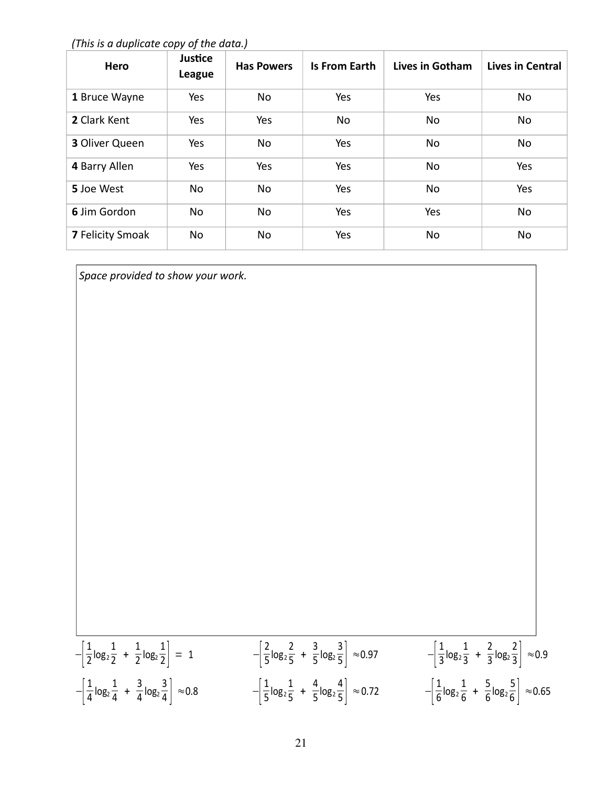*(This is a duplicate copy of the data.)*

| Hero                    | Justice<br>League | <b>Has Powers</b> | <b>Is From Earth</b> | Lives in Gotham | <b>Lives in Central</b> |
|-------------------------|-------------------|-------------------|----------------------|-----------------|-------------------------|
| 1 Bruce Wayne           | Yes               | No                | Yes                  | Yes             | No                      |
| 2 Clark Kent            | Yes               | Yes               | No                   | No              | No                      |
| <b>3 Oliver Queen</b>   | Yes               | No                | Yes                  | No              | No                      |
| 4 Barry Allen           | Yes               | Yes               | Yes                  | <b>No</b>       | Yes                     |
| 5 Joe West              | No                | No                | Yes                  | <b>No</b>       | Yes                     |
| 6 Jim Gordon            | No                | No                | Yes                  | Yes             | No                      |
| <b>7 Felicity Smoak</b> | No                | No                | Yes                  | No              | No                      |

*Space provided to show your work.*

 $-\frac{1}{2}$  $\frac{1}{2}$ log<sub>2</sub> 1  $\frac{1}{2} + \frac{1}{2}$  $\frac{1}{2}$ log<sub>2</sub>  $\frac{1}{2}$  = 1  $-\frac{2}{5}$ 5 log<sup>2</sup> 2  $\frac{2}{5} + \frac{3}{5}$  $\frac{1}{5}$ log<sub>2</sub>  $\frac{3}{5}$  ≈0.97  $-\frac{1}{3}$  $\frac{1}{3}$ log<sub>2</sub> 1  $\frac{1}{3} + \frac{2}{3}$  $\frac{1}{3}$ log<sub>2</sub>  $\frac{2}{3}$  ≈ 0.9  $-\left|\frac{1}{4}\right|$  $\frac{1}{4}$ log<sub>2</sub> 1  $\frac{1}{4} + \frac{3}{4}$  $\frac{1}{4}$  log<sub>2</sub>  $\frac{3}{4}$   $\approx$  0.8  $-\left|\frac{1}{5}\right|$  $\overline{5}$ log<sub>2</sub> 1  $\frac{1}{5} + \frac{4}{5}$  $\overline{5}$ log<sub>2</sub>  $\frac{4}{5}$  ≈ 0.72  $-\left|\frac{1}{6}\right|$  $\overline{6}$ log<sub>2</sub> 1  $\frac{1}{6} + \frac{5}{6}$  $\frac{1}{6}$ log<sub>2</sub>  $\frac{5}{6}$   $\approx$  0.65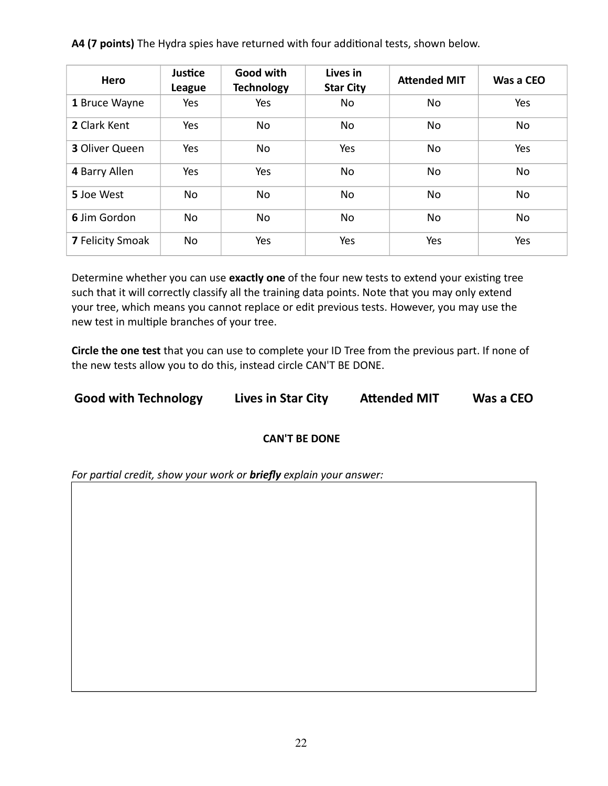**A4 (7 points)** The Hydra spies have returned with four additional tests, shown below.

| Hero                    | Justice<br>League | Good with<br><b>Technology</b> | Lives in<br><b>Star City</b> | <b>Attended MIT</b> | Was a CEO |
|-------------------------|-------------------|--------------------------------|------------------------------|---------------------|-----------|
| 1 Bruce Wayne           | Yes               | Yes                            | No                           | No.                 | Yes       |
| 2 Clark Kent            | Yes               | No                             | No                           | No.                 | No        |
| <b>3 Oliver Queen</b>   | Yes               | No                             | Yes                          | No.                 | Yes       |
| 4 Barry Allen           | Yes               | Yes                            | No                           | No.                 | No        |
| 5 Joe West              | No                | No                             | No                           | No.                 | No        |
| 6 Jim Gordon            | <b>No</b>         | <b>No</b>                      | No                           | No.                 | No.       |
| <b>7 Felicity Smoak</b> | <b>No</b>         | Yes                            | Yes                          | Yes                 | Yes       |

Determine whether you can use **exactly one** of the four new tests to extend your existing tree such that it will correctly classify all the training data points. Note that you may only extend your tree, which means you cannot replace or edit previous tests. However, you may use the new test in multiple branches of your tree.

**Circle the one test** that you can use to complete your ID Tree from the previous part. If none of the new tests allow you to do this, instead circle CAN'T BE DONE.

**Good with Technology Lives in Star City Attended MIT Was a CEO**

#### **CAN'T BE DONE**

*For partial credit, show your work or briefly explain your answer:*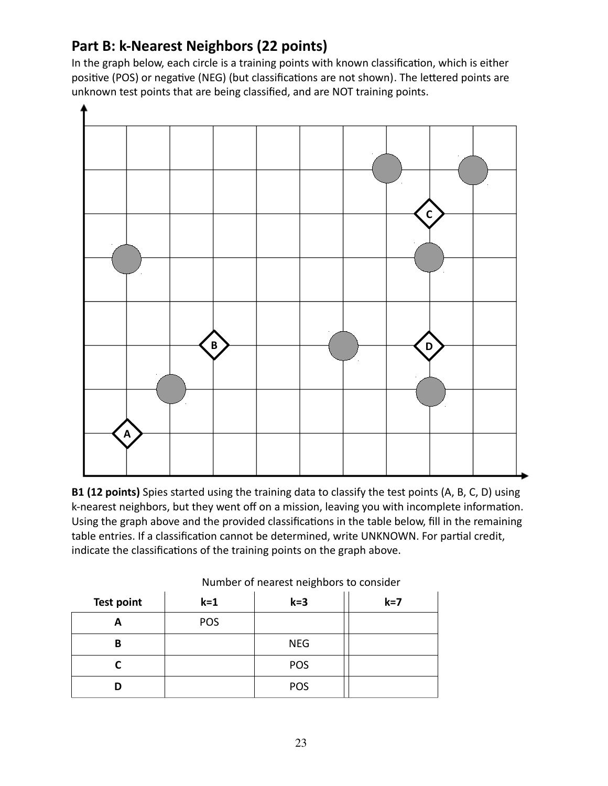### **Part B: k-Nearest Neighbors (22 points)**

In the graph below, each circle is a training points with known classification, which is either positive (POS) or negative (NEG) (but classifications are not shown). The lettered points are unknown test points that are being classified, and are NOT training points.



**B1 (12 points)** Spies started using the training data to classify the test points (A, B, C, D) using k-nearest neighbors, but they went off on a mission, leaving you with incomplete information. Using the graph above and the provided classifications in the table below, fill in the remaining table entries. If a classification cannot be determined, write UNKNOWN. For partial credit, indicate the classifications of the training points on the graph above.

| <b>Test point</b> | $k = 1$ | $k = 3$    | $k=7$ |
|-------------------|---------|------------|-------|
|                   | POS     |            |       |
| в                 |         | <b>NEG</b> |       |
|                   |         | POS        |       |
|                   |         | POS        |       |

Number of nearest neighbors to consider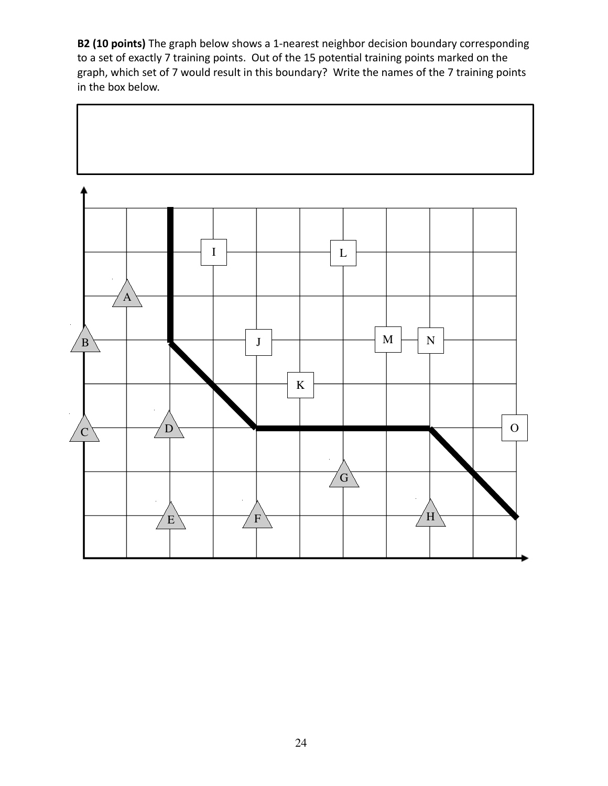**B2 (10 points)** The graph below shows a 1-nearest neighbor decision boundary corresponding to a set of exactly 7 training points. Out of the 15 potential training points marked on the graph, which set of 7 would result in this boundary? Write the names of the 7 training points in the box below.

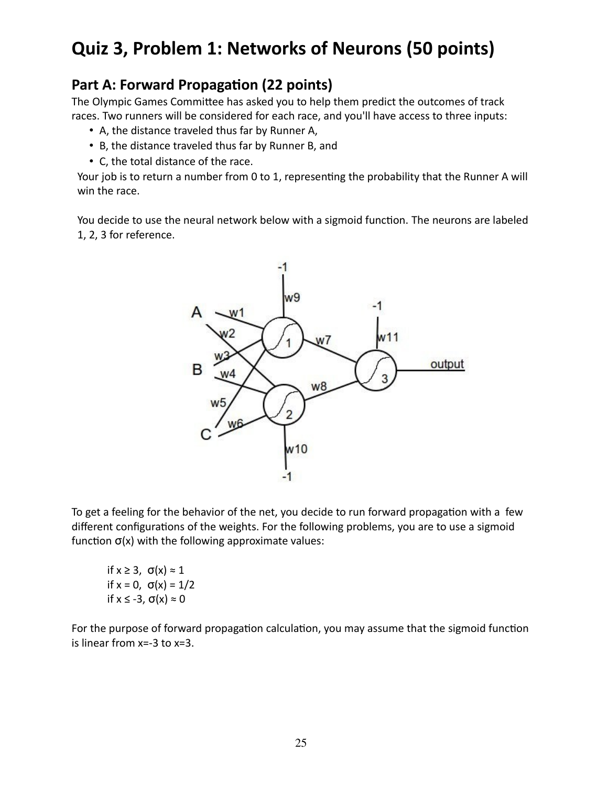# **Quiz 3, Problem 1: Networks of Neurons (50 points)**

### **Part A: Forward Propagation (22 points)**

The Olympic Games Committee has asked you to help them predict the outcomes of track races. Two runners will be considered for each race, and you'll have access to three inputs:

- A, the distance traveled thus far by Runner A,
- B, the distance traveled thus far by Runner B, and
- C, the total distance of the race.

Your job is to return a number from 0 to 1, representing the probability that the Runner A will win the race.

You decide to use the neural network below with a sigmoid function. The neurons are labeled 1, 2, 3 for reference.



To get a feeling for the behavior of the net, you decide to run forward propagation with a few different configurations of the weights. For the following problems, you are to use a sigmoid function  $\sigma(x)$  with the following approximate values:

if  $x \geq 3$ ,  $\sigma(x) \approx 1$ if  $x = 0$ ,  $\sigma(x) = 1/2$ if  $x \le -3$ ,  $\sigma(x) \approx 0$ 

For the purpose of forward propagation calculation, you may assume that the sigmoid function is linear from x=-3 to x=3.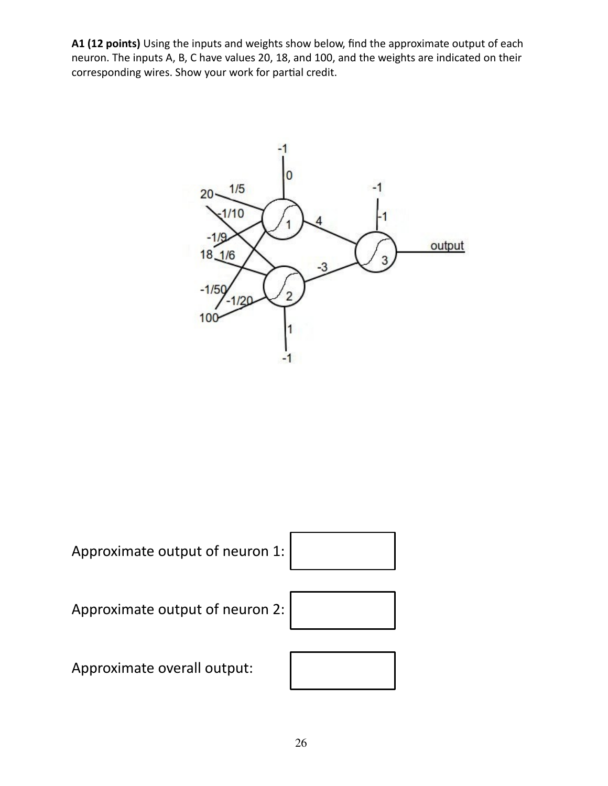**A1 (12 points)** Using the inputs and weights show below, find the approximate output of each neuron. The inputs A, B, C have values 20, 18, and 100, and the weights are indicated on their corresponding wires. Show your work for partial credit.





Approximate output of neuron 2:



Approximate overall output:

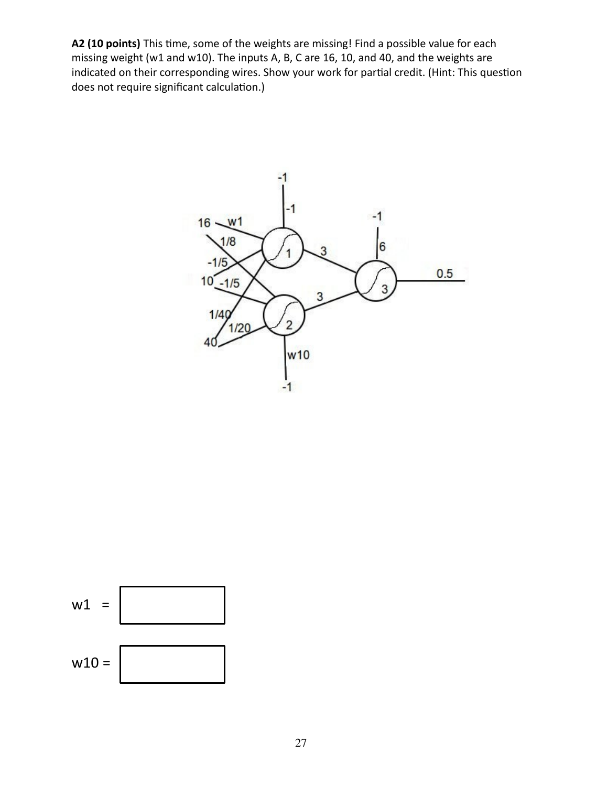**A2 (10 points)** This time, some of the weights are missing! Find a possible value for each missing weight (w1 and w10). The inputs A, B, C are 16, 10, and 40, and the weights are indicated on their corresponding wires. Show your work for partial credit. (Hint: This question does not require significant calculation.)



$$
w1 =
$$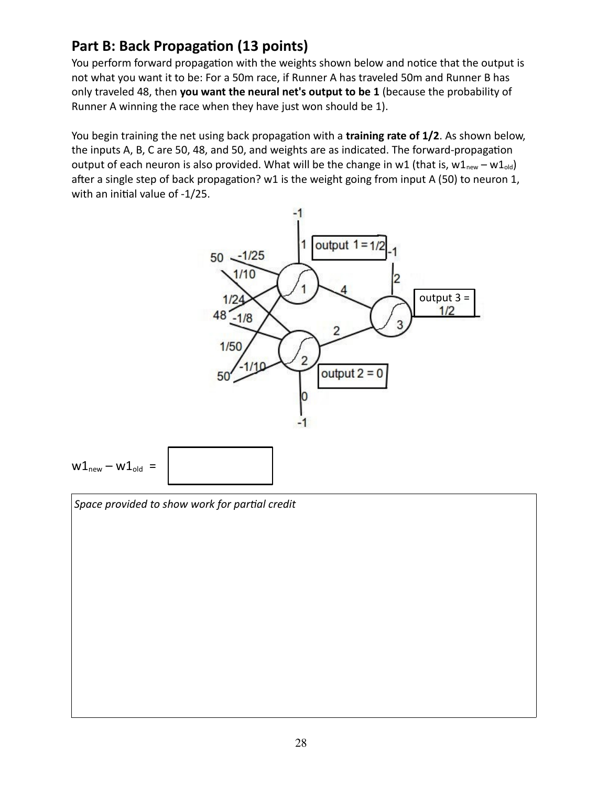### **Part B: Back Propagation (13 points)**

You perform forward propagation with the weights shown below and notice that the output is not what you want it to be: For a 50m race, if Runner A has traveled 50m and Runner B has only traveled 48, then **you want the neural net's output to be 1** (because the probability of Runner A winning the race when they have just won should be 1).

You begin training the net using back propagation with a **training rate of 1/2**. As shown below, the inputs A, B, C are 50, 48, and 50, and weights are as indicated. The forward-propagation output of each neuron is also provided. What will be the change in w1 (that is,  $w1_{new} - w1_{old}$ ) after a single step of back propagation? w1 is the weight going from input A (50) to neuron 1, with an initial value of -1/25.



*Space provided to show work for partial credit*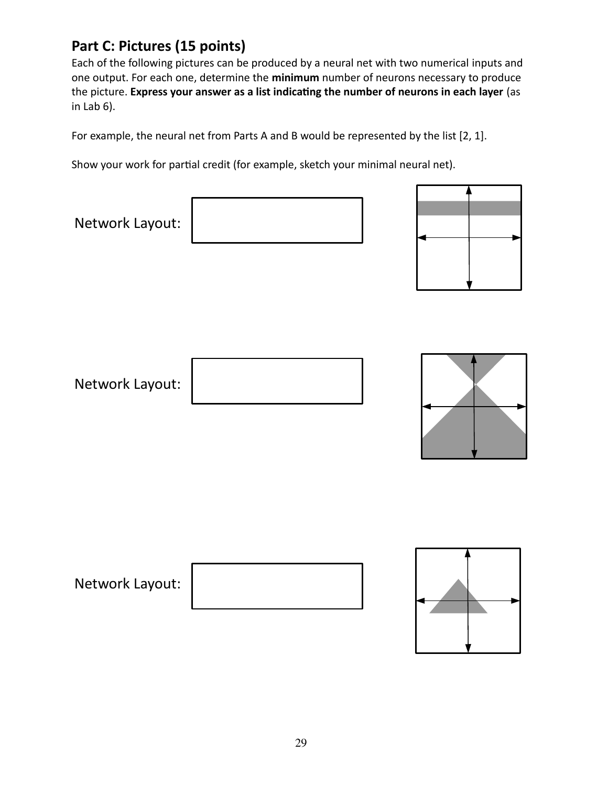### **Part C: Pictures (15 points)**

Each of the following pictures can be produced by a neural net with two numerical inputs and one output. For each one, determine the **minimum** number of neurons necessary to produce the picture. **Express your answer as a list indicating the number of neurons in each layer** (as in Lab 6).

For example, the neural net from Parts A and B would be represented by the list [2, 1].

Show your work for partial credit (for example, sketch your minimal neural net).

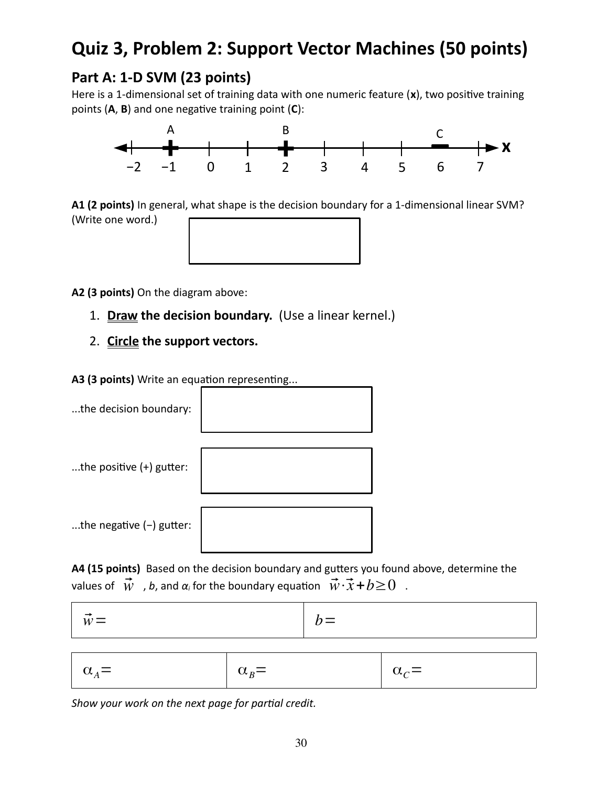# **Quiz 3, Problem 2: Support Vector Machines (50 points)**

### **Part A: 1-D SVM (23 points)**

Here is a 1-dimensional set of training data with one numeric feature (**x**), two positive training points (**A**, **B**) and one negative training point (**C**):



**A1 (2 points)** In general, what shape is the decision boundary for a 1-dimensional linear SVM? (Write one word.)



**A2 (3 points)** On the diagram above:

- 1. **Draw the decision boundary.** (Use a linear kernel.)
- 2. **Circle the support vectors.**

**A3 (3 points)** Write an equation representing...



**A4 (15 points)** Based on the decision boundary and gutters you found above, determine the values of  $\vec{w}$ , *b*, and  $\alpha_i$  for the boundary equation  $\vec{w} \cdot \vec{x} + b \ge 0$ .

| $\mathbf{M}$<br>$\mathbf{v} \mathbf{v}$ |
|-----------------------------------------|
|-----------------------------------------|

| $\alpha_A =$ | $\alpha_{B} =$ | $\alpha_c =$ |
|--------------|----------------|--------------|
|--------------|----------------|--------------|

*Show your work on the next page for partial credit.*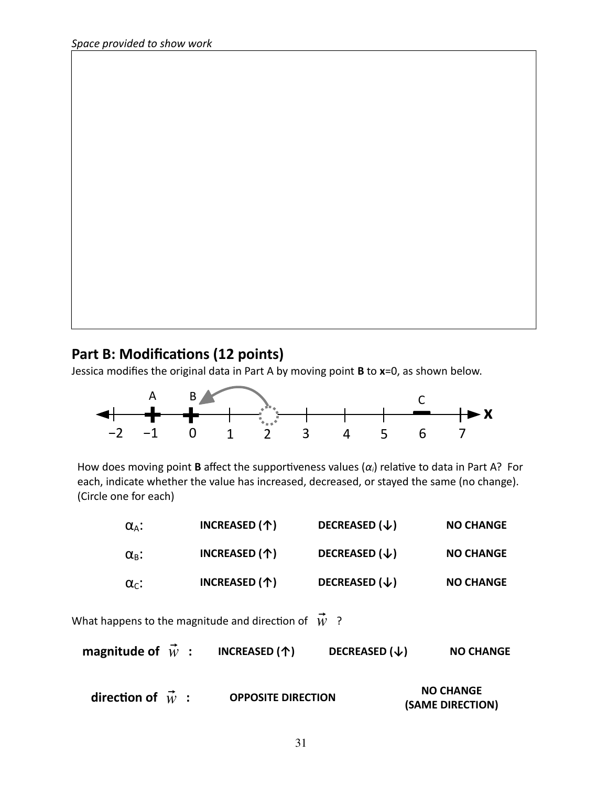#### **Part B: Modifications (12 points)**

Jessica modifies the original data in Part A by moving point **B** to **x**=0, as shown below.



How does moving point **B** affect the supportiveness values (*αi*) relative to data in Part A? For each, indicate whether the value has increased, decreased, or stayed the same (no change). (Circle one for each)

| $\alpha_{A}$ :        | INCREASED (个)                                              | DECREASED $(\downarrow)$ | <b>NO CHANGE</b> |
|-----------------------|------------------------------------------------------------|--------------------------|------------------|
| $\alpha_{\rm B}$ :    | INCREASED (个)                                              | DECREASED $(\downarrow)$ | <b>NO CHANGE</b> |
| $\alpha_{\text{c}}$ : | INCREASED (个)                                              | DECREASED $(\downarrow)$ | <b>NO CHANGE</b> |
|                       | What happens to the magnitude and direction of $\vec{w}$ ? |                          |                  |

| magnitude of $\vec{w}$ | INCREASED (个) | DECREASED $(\downarrow)$ | <b>NO CHANGE</b> |
|------------------------|---------------|--------------------------|------------------|
|------------------------|---------------|--------------------------|------------------|

| direction of $\vec{w}$ : |  | <b>OPPOSITE DIRECTION</b> | <b>NO CHANGE</b> |
|--------------------------|--|---------------------------|------------------|
|                          |  |                           | (SAME DIRECTION) |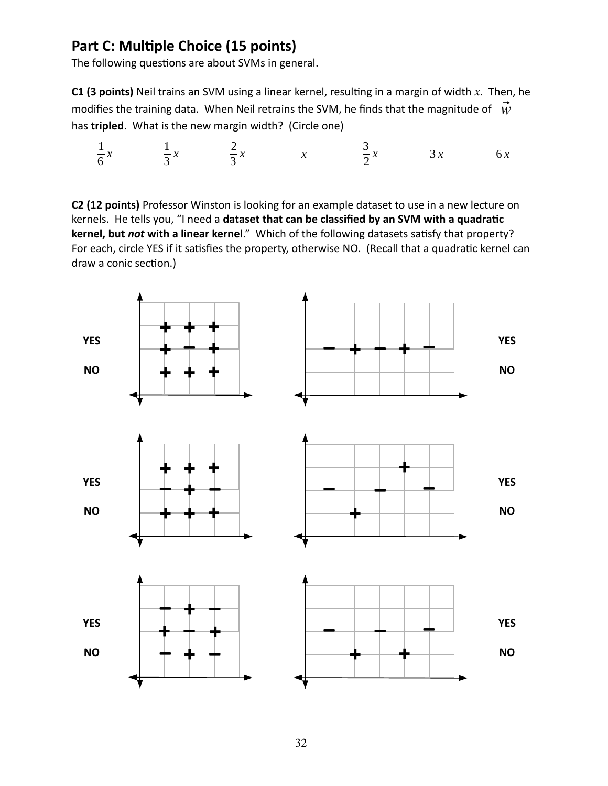### **Part C: Multiple Choice (15 points)**

The following questions are about SVMs in general.

**C1 (3 points)** Neil trains an SVM using a linear kernel, resulting in a margin of width *x*. Then, he modifies the training data. When Neil retrains the SVM, he finds that the magnitude of  $\vec{W}$ has **tripled**. What is the new margin width? (Circle one)

$$
\frac{1}{6}x \qquad \frac{1}{3}x \qquad \frac{2}{3}x \qquad x \qquad \frac{3}{2}x \qquad 3x \qquad 6x
$$

**C2 (12 points)** Professor Winston is looking for an example dataset to use in a new lecture on kernels. He tells you, "I need a **dataset that can be classified by an SVM with a quadratic kernel, but** *not* **with a linear kernel**." Which of the following datasets satisfy that property? For each, circle YES if it satisfies the property, otherwise NO. (Recall that a quadratic kernel can draw a conic section.)

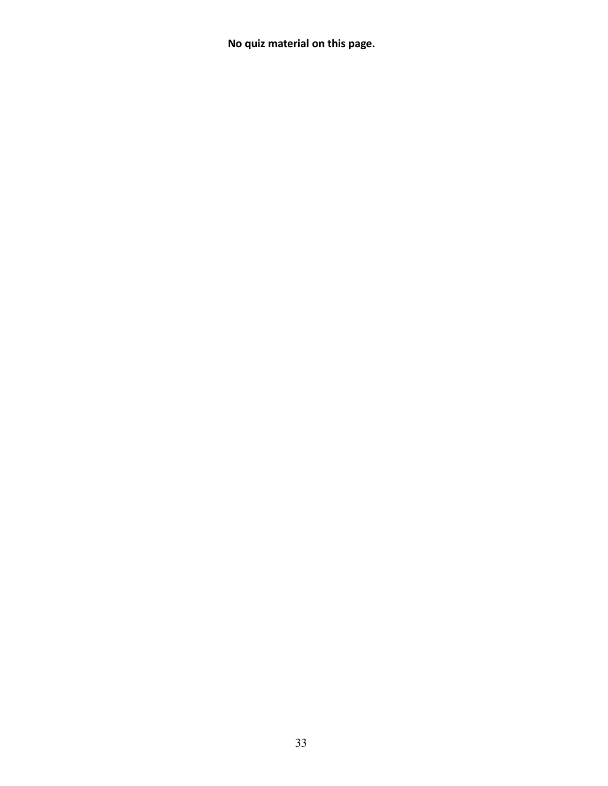**No quiz material on this page.**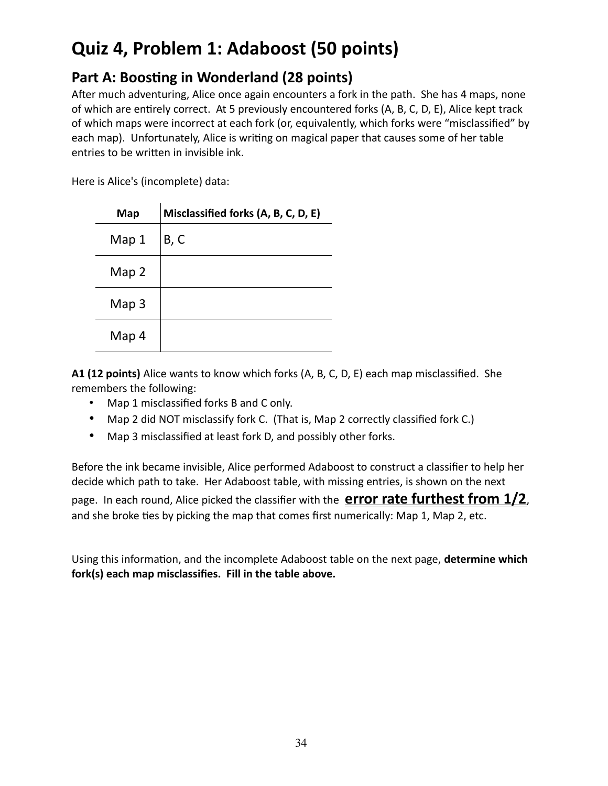# **Quiz 4, Problem 1: Adaboost (50 points)**

### **Part A: Boosting in Wonderland (28 points)**

After much adventuring, Alice once again encounters a fork in the path. She has 4 maps, none of which are entirely correct. At 5 previously encountered forks (A, B, C, D, E), Alice kept track of which maps were incorrect at each fork (or, equivalently, which forks were "misclassified" by each map). Unfortunately, Alice is writing on magical paper that causes some of her table entries to be written in invisible ink.

Here is Alice's (incomplete) data:

| Map   | Misclassified forks (A, B, C, D, E) |
|-------|-------------------------------------|
| Map 1 | B, C                                |
| Map 2 |                                     |
| Map 3 |                                     |
| Map 4 |                                     |

**A1 (12 points)** Alice wants to know which forks (A, B, C, D, E) each map misclassified. She remembers the following:

- Map 1 misclassified forks B and C only.
- Map 2 did NOT misclassify fork C. (That is, Map 2 correctly classified fork C.)
- Map 3 misclassified at least fork D, and possibly other forks.

Before the ink became invisible, Alice performed Adaboost to construct a classifier to help her decide which path to take. Her Adaboost table, with missing entries, is shown on the next page. In each round, Alice picked the classifier with the **error rate furthest from 1/2**, and she broke ties by picking the map that comes first numerically: Map 1, Map 2, etc.

Using this information, and the incomplete Adaboost table on the next page, **determine which fork(s) each map misclassifies. Fill in the table above.**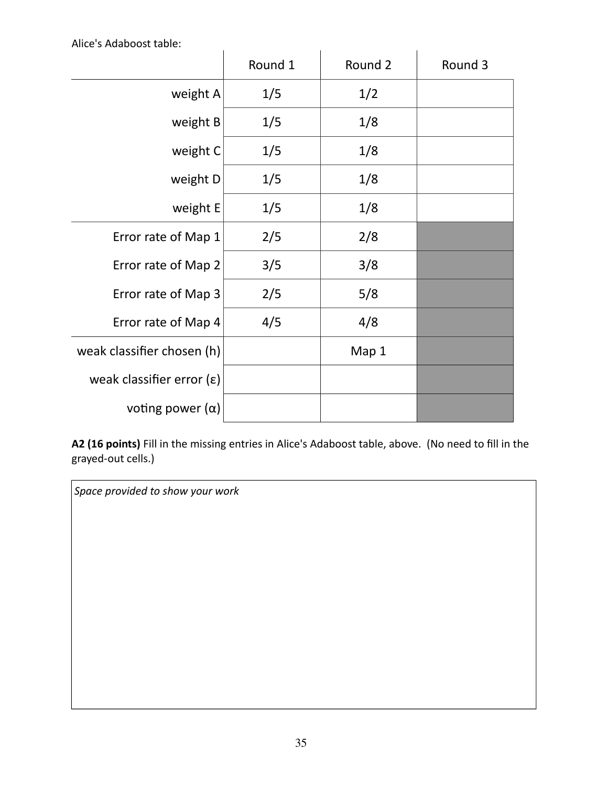Alice's Adaboost table:

|                            | Round 1 | Round 2 | Round 3 |
|----------------------------|---------|---------|---------|
| weight A                   | 1/5     | 1/2     |         |
| weight B                   | 1/5     | 1/8     |         |
| weight C                   | 1/5     | 1/8     |         |
| weight D                   | 1/5     | 1/8     |         |
| weight E                   | 1/5     | 1/8     |         |
| Error rate of Map 1        | 2/5     | 2/8     |         |
| Error rate of Map 2        | 3/5     | 3/8     |         |
| Error rate of Map 3        | 2/5     | 5/8     |         |
| Error rate of Map 4        | 4/5     | 4/8     |         |
| weak classifier chosen (h) |         | Map 1   |         |
| weak classifier error (ε)  |         |         |         |
| voting power $(\alpha)$    |         |         |         |

**A2 (16 points)** Fill in the missing entries in Alice's Adaboost table, above. (No need to fill in the grayed-out cells.)

*Space provided to show your work*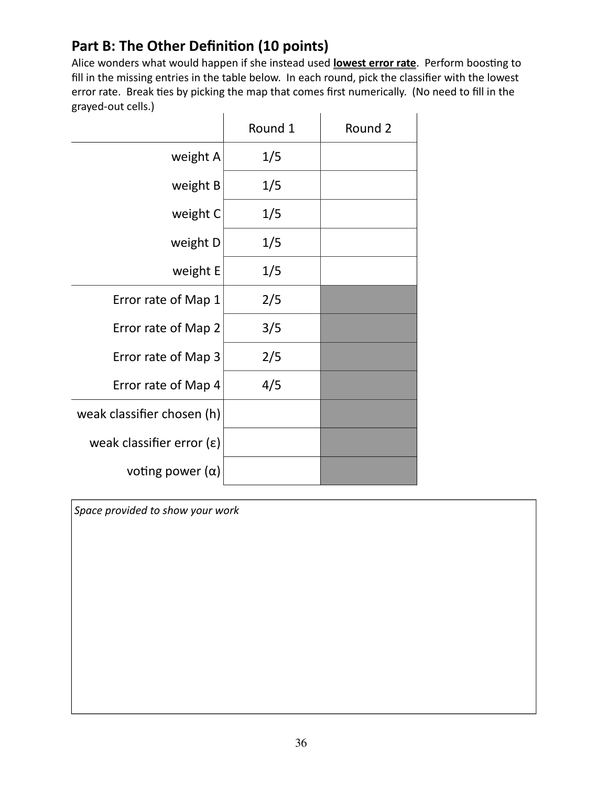### **Part B: The Other Definition (10 points)**

Alice wonders what would happen if she instead used **lowest error rate**. Perform boosting to fill in the missing entries in the table below. In each round, pick the classifier with the lowest error rate. Break ties by picking the map that comes first numerically. (No need to fill in the grayed-out cells.) J.  $\mathbf{r}$ 

|                            | Round 1 | Round 2 |
|----------------------------|---------|---------|
| weight A                   | 1/5     |         |
| weight B                   | 1/5     |         |
| weight C                   | 1/5     |         |
| weight D                   | 1/5     |         |
| weight E                   | 1/5     |         |
| Error rate of Map 1        | 2/5     |         |
| Error rate of Map 2        | 3/5     |         |
| Error rate of Map 3        | 2/5     |         |
| Error rate of Map 4        | 4/5     |         |
| weak classifier chosen (h) |         |         |
| weak classifier error (ε)  |         |         |
| voting power $(\alpha)$    |         |         |

*Space provided to show your work*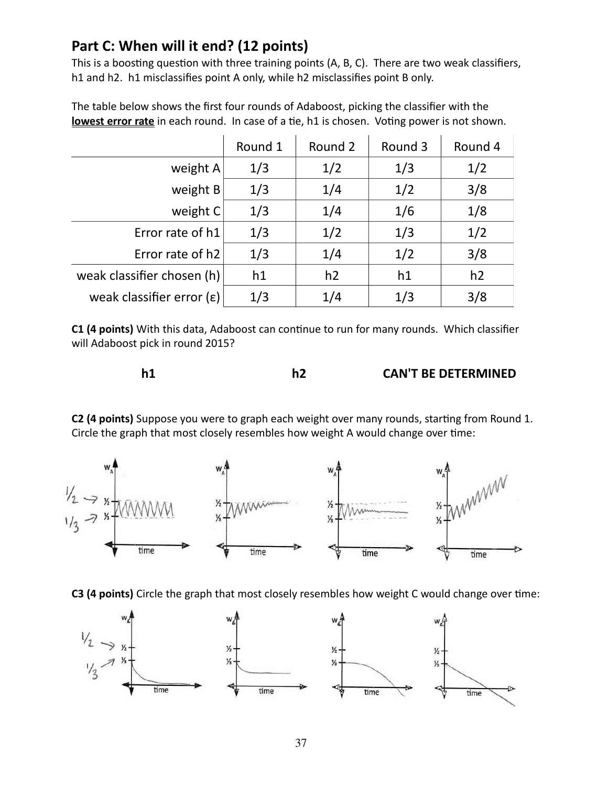### **Part C: When will it end? (12 points)**

This is a boosting question with three training points (A, B, C). There are two weak classifiers, h1 and h2. h1 misclassifies point A only, while h2 misclassifies point B only.

|                                    | Round 1 | Round 2 | Round 3 | Round 4 |
|------------------------------------|---------|---------|---------|---------|
| weight A                           | 1/3     | 1/2     | 1/3     | 1/2     |
| weight B                           | 1/3     | 1/4     | 1/2     | 3/8     |
| weight C                           | 1/3     | 1/4     | 1/6     | 1/8     |
| Error rate of h1                   | 1/3     | 1/2     | 1/3     | 1/2     |
| Error rate of h2                   | 1/3     | 1/4     | 1/2     | 3/8     |
| weak classifier chosen (h)         | h1      | h2      | h1      | h2      |
| weak classifier error $(\epsilon)$ | 1/3     | 1/4     | 1/3     | 3/8     |

The table below shows the first four rounds of Adaboost, picking the classifier with the **lowest error rate** in each round. In case of a tie, h1 is chosen. Voting power is not shown.

**C1 (4 points)** With this data, Adaboost can continue to run for many rounds. Which classifier will Adaboost pick in round 2015?

|  |  |  | <b>CAN'T BE DETERMINED</b> |
|--|--|--|----------------------------|
|--|--|--|----------------------------|

**C2 (4 points)** Suppose you were to graph each weight over many rounds, starting from Round 1. Circle the graph that most closely resembles how weight A would change over time:



**C3 (4 points)** Circle the graph that most closely resembles how weight C would change over time:

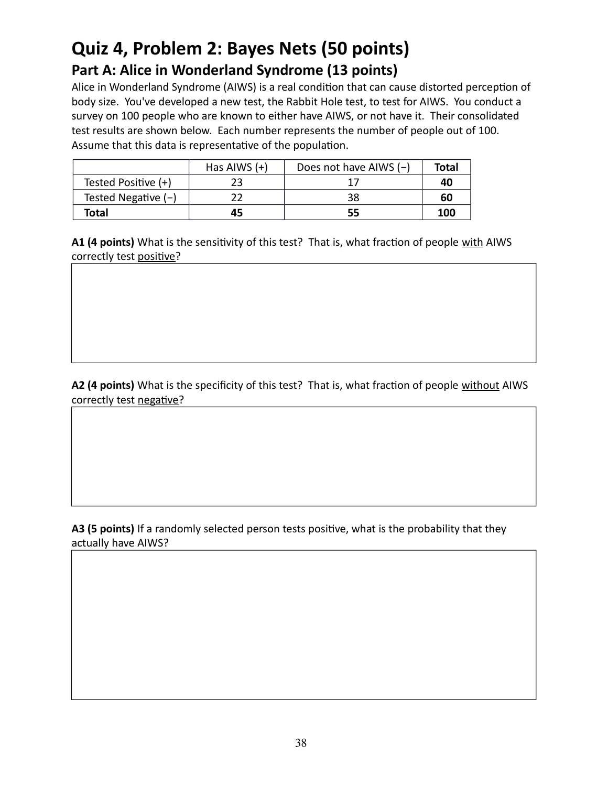## **Quiz 4, Problem 2: Bayes Nets (50 points) Part A: Alice in Wonderland Syndrome (13 points)**

Alice in Wonderland Syndrome (AIWS) is a real condition that can cause distorted perception of body size. You've developed a new test, the Rabbit Hole test, to test for AIWS. You conduct a survey on 100 people who are known to either have AIWS, or not have it. Their consolidated test results are shown below. Each number represents the number of people out of 100. Assume that this data is representative of the population.

|                       | Has AIWS $(+)$ | Does not have AIWS $(-)$ | Total |
|-----------------------|----------------|--------------------------|-------|
| Tested Positive (+)   |                |                          | 40    |
| Tested Negative $(-)$ |                | 38                       | 60    |
| Total                 | 45             | 55                       | 100   |

**A1 (4 points)** What is the sensitivity of this test? That is, what fraction of people with AIWS correctly test positive?

**A2 (4 points)** What is the specificity of this test? That is, what fraction of people without AIWS correctly test negative?

**A3 (5 points)** If a randomly selected person tests positive, what is the probability that they actually have AIWS?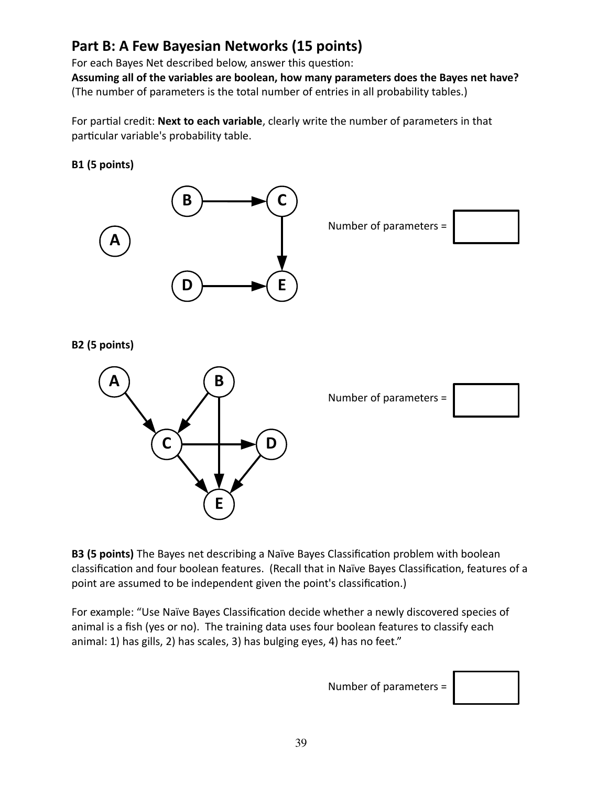### **Part B: A Few Bayesian Networks (15 points)**

For each Bayes Net described below, answer this question:

**Assuming all of the variables are boolean, how many parameters does the Bayes net have?** (The number of parameters is the total number of entries in all probability tables.)

For partial credit: **Next to each variable**, clearly write the number of parameters in that particular variable's probability table.

**B1 (5 points)**



Number of parameters =



**B2 (5 points)**



Number of parameters =



**B3 (5 points)** The Bayes net describing a Naïve Bayes Classification problem with boolean classification and four boolean features. (Recall that in Naïve Bayes Classification, features of a point are assumed to be independent given the point's classification.)

For example: "Use Naïve Bayes Classification decide whether a newly discovered species of animal is a fish (yes or no). The training data uses four boolean features to classify each animal: 1) has gills, 2) has scales, 3) has bulging eyes, 4) has no feet."

Number of parameters =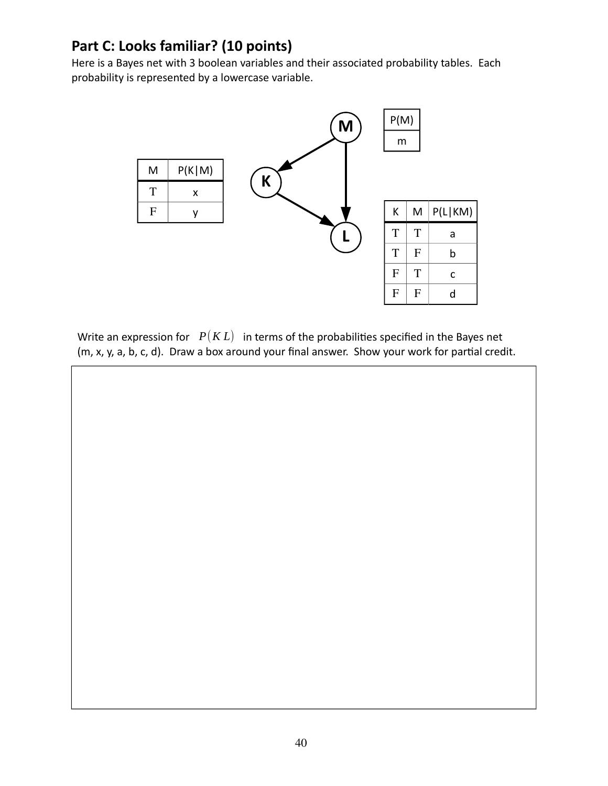### **Part C: Looks familiar? (10 points)**

Here is a Bayes net with 3 boolean variables and their associated probability tables. Each probability is represented by a lowercase variable.



Write an expression for  $P(KL)$  in terms of the probabilities specified in the Bayes net (m, x, y, a, b, c, d). Draw a box around your final answer. Show your work for partial credit.

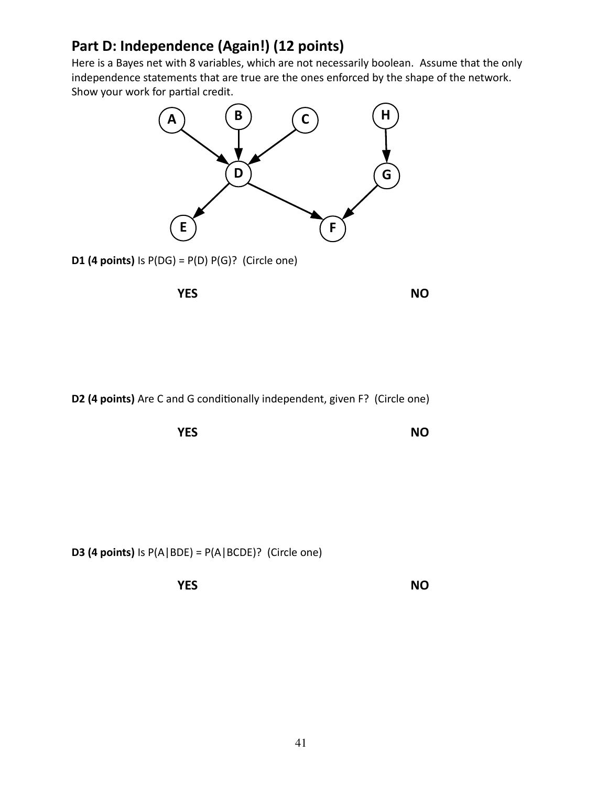### **Part D: Independence (Again!) (12 points)**

Here is a Bayes net with 8 variables, which are not necessarily boolean. Assume that the only independence statements that are true are the ones enforced by the shape of the network. Show your work for partial credit.



**D1 (4 points)** Is  $P(DG) = P(D) P(G)$ ? (Circle one)





**D2 (4 points)** Are C and G conditionally independent, given F? (Circle one)



**D3 (4 points)** Is  $P(A|BDE) = P(A|BCDE)$ ? (Circle one)

**YES NO**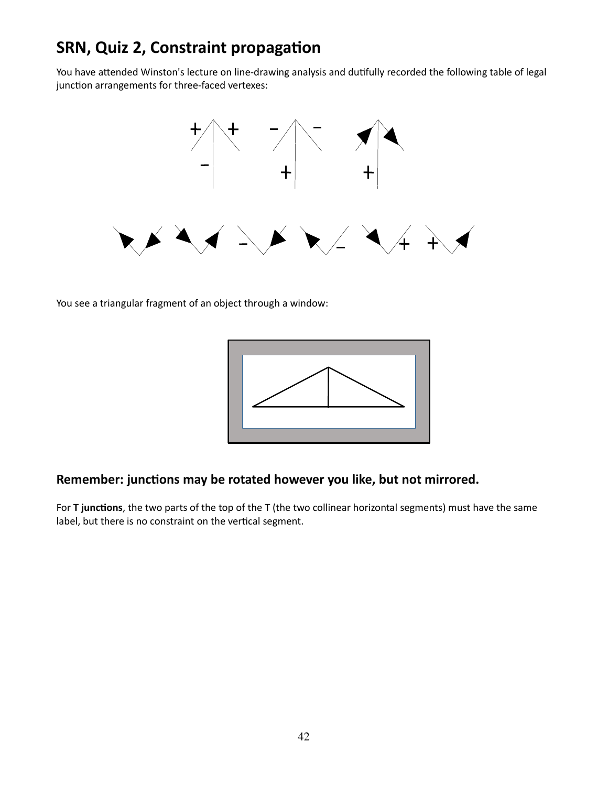## **SRN, Quiz 2, Constraint propagation**

You have attended Winston's lecture on line-drawing analysis and dutifully recorded the following table of legal junction arrangements for three-faced vertexes:



You see a triangular fragment of an object through a window:



#### **Remember: junctions may be rotated however you like, but not mirrored.**

For **T junctions**, the two parts of the top of the T (the two collinear horizontal segments) must have the same label, but there is no constraint on the vertical segment.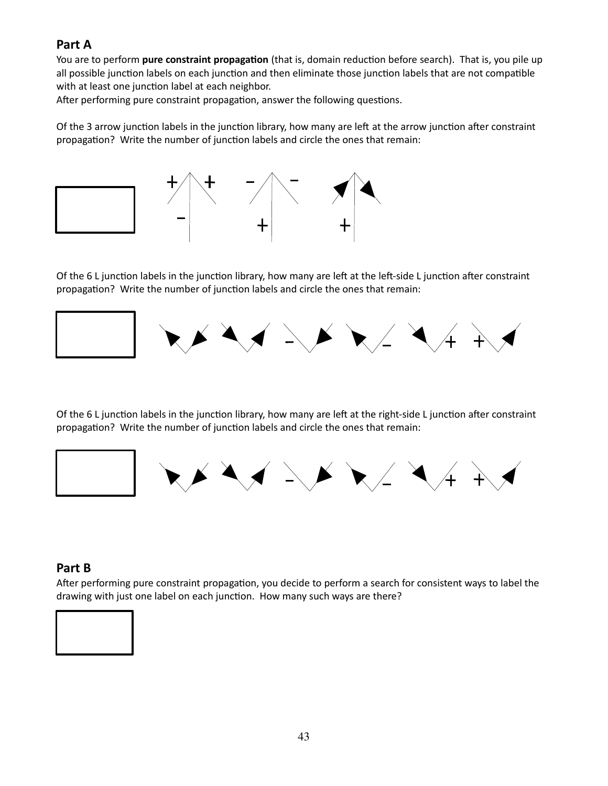#### **Part A**

You are to perform **pure constraint propagation** (that is, domain reduction before search). That is, you pile up all possible junction labels on each junction and then eliminate those junction labels that are not compatible with at least one junction label at each neighbor.

After performing pure constraint propagation, answer the following questions.

Of the 3 arrow junction labels in the junction library, how many are left at the arrow junction after constraint propagation? Write the number of junction labels and circle the ones that remain:



Of the 6 L junction labels in the junction library, how many are left at the left-side L junction after constraint propagation? Write the number of junction labels and circle the ones that remain:



Of the 6 L junction labels in the junction library, how many are left at the right-side L junction after constraint propagation? Write the number of junction labels and circle the ones that remain:



#### **Part B**

After performing pure constraint propagation, you decide to perform a search for consistent ways to label the drawing with just one label on each junction. How many such ways are there?

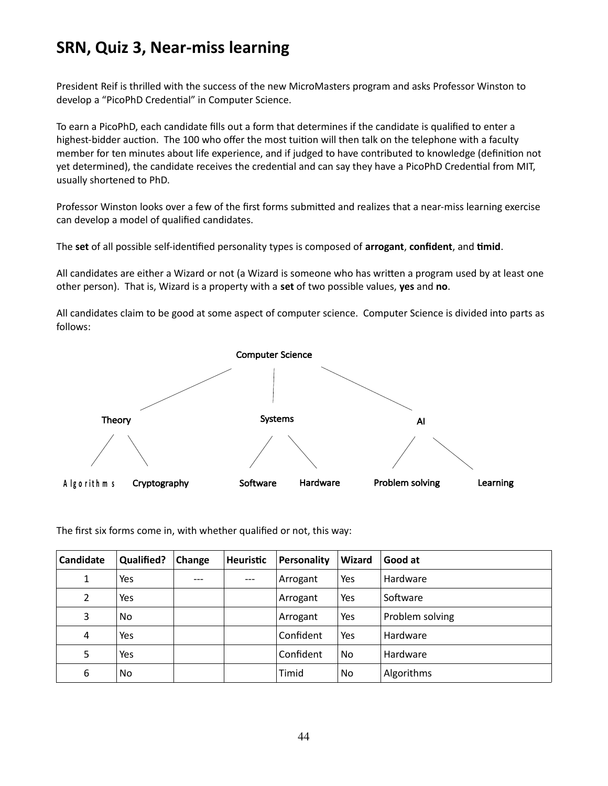## **SRN, Quiz 3, Near-miss learning**

President Reif is thrilled with the success of the new MicroMasters program and asks Professor Winston to develop a "PicoPhD Credential" in Computer Science.

To earn a PicoPhD, each candidate fills out a form that determines if the candidate is qualified to enter a highest-bidder auction. The 100 who offer the most tuition will then talk on the telephone with a faculty member for ten minutes about life experience, and if judged to have contributed to knowledge (definition not yet determined), the candidate receives the credential and can say they have a PicoPhD Credential from MIT, usually shortened to PhD.

Professor Winston looks over a few of the first forms submitted and realizes that a near-miss learning exercise can develop a model of qualified candidates.

The **set** of all possible self-identified personality types is composed of **arrogant**, **confident**, and **timid**.

All candidates are either a Wizard or not (a Wizard is someone who has written a program used by at least one other person). That is, Wizard is a property with a **set** of two possible values, **yes** and **no**.

All candidates claim to be good at some aspect of computer science. Computer Science is divided into parts as follows:



The first six forms come in, with whether qualified or not, this way:

| Candidate      | <b>Qualified?</b> | Change | <b>Heuristic</b> | Personality | Wizard    | Good at         |
|----------------|-------------------|--------|------------------|-------------|-----------|-----------------|
| $\mathbf{1}$   | Yes               |        | $---$            | Arrogant    | Yes       | Hardware        |
| $\overline{2}$ | Yes               |        |                  | Arrogant    | Yes       | Software        |
| 3              | N <sub>0</sub>    |        |                  | Arrogant    | Yes       | Problem solving |
| 4              | Yes               |        |                  | Confident   | Yes       | Hardware        |
| 5              | Yes               |        |                  | Confident   | No        | Hardware        |
| 6              | N <sub>0</sub>    |        |                  | Timid       | <b>No</b> | Algorithms      |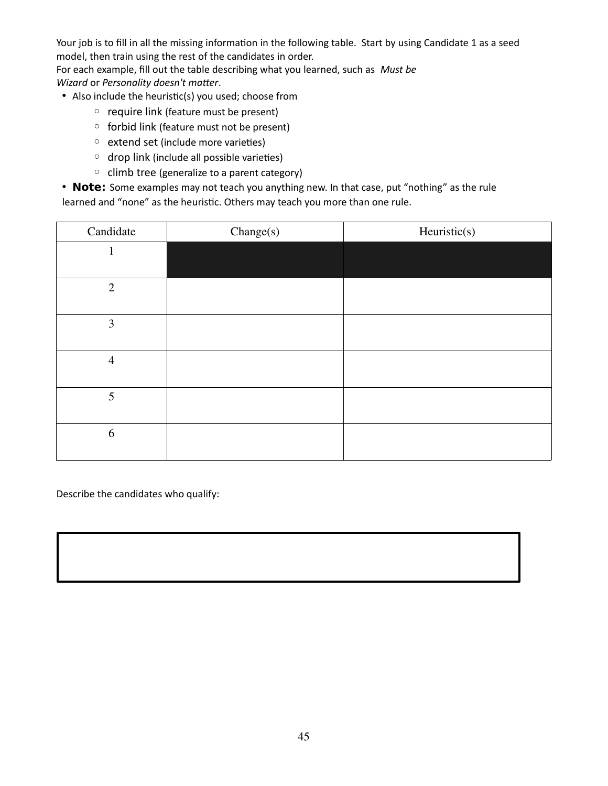Your job is to fill in all the missing information in the following table. Start by using Candidate 1 as a seed model, then train using the rest of the candidates in order.

For each example, fill out the table describing what you learned, such as *Must be Wizard* or *Personality doesn't matter*.

- Also include the heuristic(s) you used; choose from
	- require link (feature must be present)
	- forbid link (feature must not be present)
	- extend set (include more varieties)
	- drop link (include all possible varieties)
	- climb tree (generalize to a parent category)

• **Note:** Some examples may not teach you anything new. In that case, put "nothing" as the rule learned and "none" as the heuristic. Others may teach you more than one rule.

| Candidate      | Change(s) | Heuristic(s) |
|----------------|-----------|--------------|
|                |           |              |
| $\overline{2}$ |           |              |
|                |           |              |
| 3              |           |              |
|                |           |              |
| $\overline{4}$ |           |              |
| 5              |           |              |
| 6              |           |              |

Describe the candidates who qualify: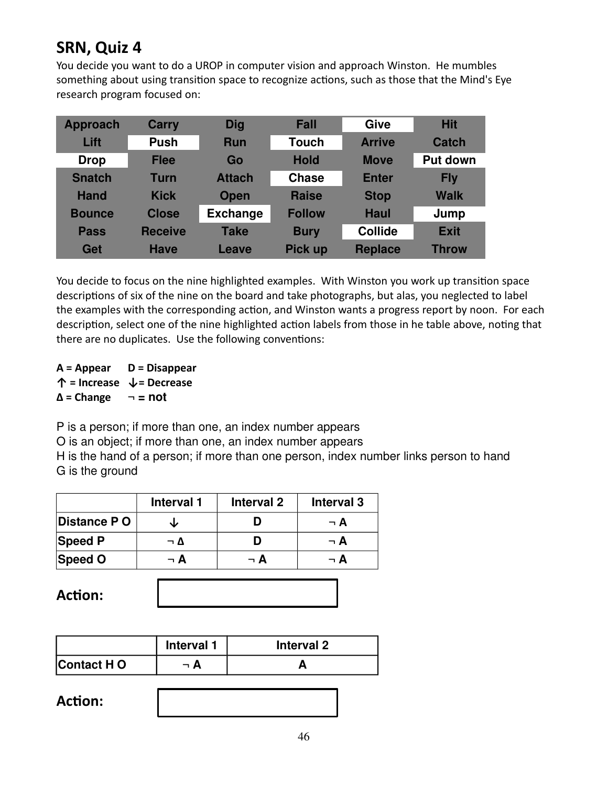## **SRN, Quiz 4**

You decide you want to do a UROP in computer vision and approach Winston. He mumbles something about using transition space to recognize actions, such as those that the Mind's Eye research program focused on:

| <b>Approach</b> | <b>Carry</b>   | <b>Dig</b>      | <b>Fall</b>    | Give           | <b>Hit</b>      |
|-----------------|----------------|-----------------|----------------|----------------|-----------------|
| Lift            | <b>Push</b>    | <b>Run</b>      | <b>Touch</b>   | <b>Arrive</b>  | Catch           |
| <b>Drop</b>     | <b>Flee</b>    | Go              | <b>Hold</b>    | <b>Move</b>    | <b>Put down</b> |
| <b>Snatch</b>   | <b>Turn</b>    | <b>Attach</b>   | <b>Chase</b>   | <b>Enter</b>   | <b>Fly</b>      |
| <b>Hand</b>     | <b>Kick</b>    | <b>Open</b>     | <b>Raise</b>   | <b>Stop</b>    | <b>Walk</b>     |
| <b>Bounce</b>   | <b>Close</b>   | <b>Exchange</b> | <b>Follow</b>  | <b>Haul</b>    | Jump            |
| <b>Pass</b>     | <b>Receive</b> | <b>Take</b>     | <b>Bury</b>    | <b>Collide</b> | <b>Exit</b>     |
| Get             | <b>Have</b>    | Leave           | <b>Pick up</b> | <b>Replace</b> | <b>Throw</b>    |

You decide to focus on the nine highlighted examples. With Winston you work up transition space descriptions of six of the nine on the board and take photographs, but alas, you neglected to label the examples with the corresponding action, and Winston wants a progress report by noon. For each description, select one of the nine highlighted action labels from those in he table above, noting that there are no duplicates. Use the following conventions:

**A = Appear D = Disappear ↑ = Increase ↓= Decrease ∆ = Change ¬ = not**

P is a person; if more than one, an index number appears

O is an object; if more than one, an index number appears

H is the hand of a person; if more than one person, index number links person to hand G is the ground

|                | <b>Interval 1</b> | Interval 2 | <b>Interval 3</b> |
|----------------|-------------------|------------|-------------------|
| Distance PO    |                   |            | ¬ A               |
| <b>Speed P</b> | ¬ ∆               |            | — А               |
| Speed O        | – A               | $\neg$ A   | - A               |

| <b>Action:</b> |  |
|----------------|--|
|----------------|--|

|             | Interval 1 | Interval 2 |
|-------------|------------|------------|
| Contact H O |            |            |

**Action:**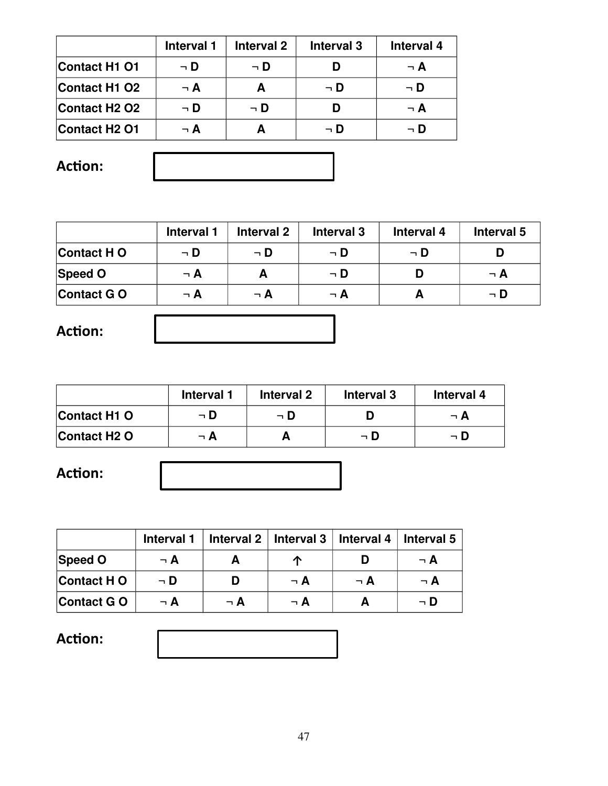|                                       | Interval 1 | Interval 2 | <b>Interval 3</b> | Interval 4 |
|---------------------------------------|------------|------------|-------------------|------------|
| <b>Contact H1 O1</b>                  | $\neg$ D   | ¬ D        |                   | $\neg$ A   |
| <b>Contact H1 O2</b>                  | $\neg$ A   |            | $\neg$ D          | $\neg$ D   |
| Contact H <sub>2</sub> O <sub>2</sub> | ¬ D        | ¬ D        |                   | $\neg$ A   |
| <b>Contact H2 O1</b>                  | $\neg$ A   |            | ⊣ D               | ⊣ D        |

**Action:**

|             | Interval 1 | Interval 2 | Interval 3 | Interval 4 | Interval 5 |
|-------------|------------|------------|------------|------------|------------|
| Contact H O | $\neg$ D   | $\neg$ D   | $\neg$ D   | → D        |            |
| Speed O     | $\neg$ A   |            | $\neg$ D   |            | $\neg$ A   |
| Contact GO  | $\neg$ A   | $\neg$ A   | $\neg$ A   |            | ¬ D        |
|             |            |            |            |            |            |

**Action:**

|                          | Interval 1 | Interval 2 | Interval 3 | Interval 4 |
|--------------------------|------------|------------|------------|------------|
| Contact H <sub>1</sub> O | ¬ D        | ¬ D        |            | $\neg$ A   |
| Contact H <sub>2</sub> O | $\neg$ A   |            | ¬ D        | $\neg$ D   |

**Action:**

|                   | Interval 1 |          | Interval $2 \mid$ Interval 3 | Interval 4 | ∣ Interval 5 |
|-------------------|------------|----------|------------------------------|------------|--------------|
| <b>Speed O</b>    | $\neg$ A   |          |                              |            | ¬ A          |
| Contact H O       | ¬ D        |          | $\neg$ A                     | $\neg$ A   | $\neg$ A     |
| <b>Contact GO</b> | $\neg$ A   | $\neg$ A | $\neg$ A                     |            | ¬ D          |

**Action:**